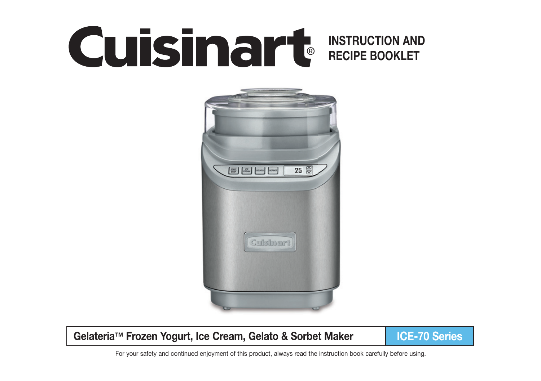# **INSTRUCTION AND CUISINGING INSTRUCTION AND**



## **Gelateria™ Frozen Yogurt, Ice Cream, Gelato & Sorbet Maker ICE-70 Series**

For your safety and continued enjoyment of this product, always read the instruction book carefully before using.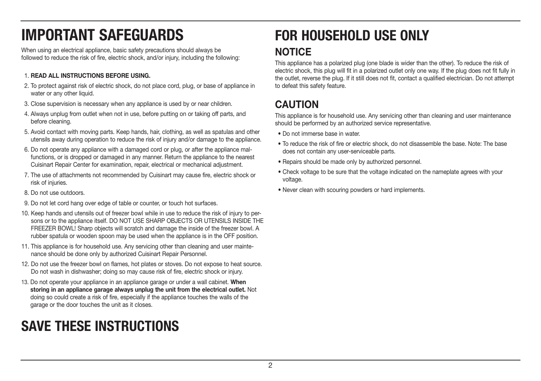# **IMPORTANT SAFEGUARDS**

When using an electrical appliance, basic safety precautions should always be followed to reduce the risk of fire, electric shock, and/or injury, including the following:

#### 1. **READ ALL INSTRUCTIONS BEFORE USING.**

- 2. To protect against risk of electric shock, do not place cord, plug, or base of appliance in water or any other liquid.
- 3. Close supervision is necessary when any appliance is used by or near children.
- 4. Always unplug from outlet when not in use, before putting on or taking off parts, and before cleaning.
- 5. Avoid contact with moving parts. Keep hands, hair, clothing, as well as spatulas and other utensils away during operation to reduce the risk of injury and/or damage to the appliance.
- 6. Do not operate any appliance with a damaged cord or plug, or after the appliance malfunctions, or is dropped or damaged in any manner. Return the appliance to the nearest Cuisinart Repair Center for examination, repair, electrical or mechanical adjustment.
- 7. The use of attachments not recommended by Cuisinart may cause fire, electric shock or risk of injuries.
- 8. Do not use outdoors.
- 9. Do not let cord hang over edge of table or counter, or touch hot surfaces.
- 10. Keep hands and utensils out of freezer bowl while in use to reduce the risk of injury to persons or to the appliance itself. DO NOT USE SHARP OBJECTS OR UTENSILS INSIDE THE FREEZER BOWL! Sharp objects will scratch and damage the inside of the freezer bowl. A rubber spatula or wooden spoon may be used when the appliance is in the OFF position.
- 11. This appliance is for household use. Any servicing other than cleaning and user maintenance should be done only by authorized Cuisinart Repair Personnel.
- 12. Do not use the freezer bowl on flames, hot plates or stoves. Do not expose to heat source. Do not wash in dishwasher; doing so may cause risk of fire, electric shock or injury.
- 13. Do not operate your appliance in an appliance garage or under a wall cabinet. **When storing in an appliance garage always unplug the unit from the electrical outlet.** Not doing so could create a risk of fire, especially if the appliance touches the walls of the garage or the door touches the unit as it closes.

## **SAVE THESE INSTRUCTIONS**

## **FOR HOUSEHOLD USE ONLY NOTICE**

This appliance has a polarized plug (one blade is wider than the other). To reduce the risk of electric shock, this plug will fit in a polarized outlet only one way. If the plug does not fit fully in the outlet, reverse the plug. If it still does not fit, contact a qualified electrician. Do not attempt to defeat this safety feature.

## **CAUTION**

This appliance is for household use. Any servicing other than cleaning and user maintenance should be performed by an authorized service representative.

- Do not immerse base in water.
- To reduce the risk of fire or electric shock do not disassemble the base. Note: The base does not contain any user-serviceable parts.
- Repairs should be made only by authorized personnel.
- Check voltage to be sure that the voltage indicated on the nameplate agrees with your voltage.
- Never clean with scouring powders or hard implements.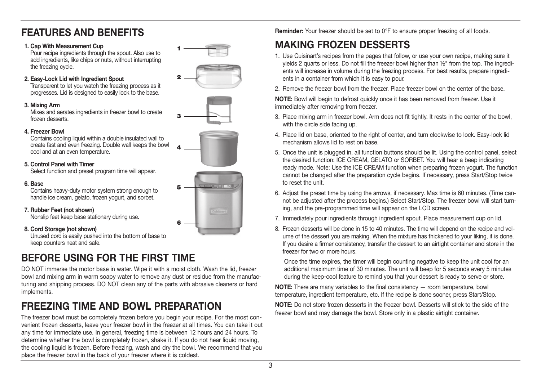## **FEATURES AND BENEFITS**

#### **1. Cap With Measurement Cup**

Pour recipe ingredients through the spout. Also use to add ingredients, like chips or nuts, without interrupting the freezing cycle.

#### **2. Easy-Lock Lid with Ingredient Spout**

Transparent to let you watch the freezing process as it progresses. Lid is designed to easily lock to the base.

#### **3. Mixing Arm**

Mixes and aerates ingredients in freezer bowl to create frozen desserts.



**1**

**4**



#### **4. Freezer Bowl**

Contains cooling liquid within a double insulated wall to create fast and even freezing. Double wall keeps the bowl cool and at an even temperature.

#### **5. Control Panel with Timer**

Select function and preset program time will appear.

#### **6. Base**

Contains heavy-duty motor system strong enough to handle ice cream, gelato, frozen yogurt, and sorbet.

#### **7. Rubber Feet (not shown)**

Nonslip feet keep base stationary during use.

#### **8. Cord Storage (not shown)**

Unused cord is easily pushed into the bottom of base to keep counters neat and safe.

## **BEFORE USING FOR THE FIRST TIME**

DO NOT immerse the motor base in water. Wipe it with a moist cloth. Wash the lid, freezer bowl and mixing arm in warm soapy water to remove any dust or residue from the manufacturing and shipping process. DO NOT clean any of the parts with abrasive cleaners or hard implements.

## **FREEZING TIME AND BOWL PREPARATION**

The freezer bowl must be completely frozen before you begin your recipe. For the most convenient frozen desserts, leave your freezer bowl in the freezer at all times. You can take it out any time for immediate use. In general, freezing time is between 12 hours and 24 hours. To determine whether the bowl is completely frozen, shake it. If you do not hear liquid moving, the cooling liquid is frozen. Before freezing, wash and dry the bowl. We recommend that you place the freezer bowl in the back of your freezer where it is coldest.

**Reminder:** Your freezer should be set to 0°F to ensure proper freezing of all foods.

## **MAKING FROZEN DESSERTS**

- 1. Use Cuisinart's recipes from the pages that follow, or use your own recipe, making sure it yields 2 quarts or less. Do not fill the freezer bowl higher than ½" from the top. The ingredi ents will increase in volume during the freezing process. For best results, prepare ingredi ents in a container from which it is easy to pour.
- 2. Remove the freezer bowl from the freezer. Place freezer bowl on the center of the base.

**NOTE:** Bowl will begin to defrost quickly once it has been removed from freezer. Use it immediately after removing from freezer.

- 3. Place mixing arm in freezer bowl. Arm does not fit tightly. It rests in the center of the bowl, with the circle side facing up.
- 4. Place lid on base, oriented to the right of center, and turn clockwise to lock. Easy-lock lid mechanism allows lid to rest on base.
- 5. Once the unit is plugged in, all function buttons should be lit. Using the control panel, select the desired function: ICE CREAM, GELATO or SORBET. You will hear a beep indicating ready mode. Note: Use the ICE CREAM function when preparing frozen yogurt. The function cannot be changed after the preparation cycle begins. If necessary, press Start/Stop twice to reset the unit.
- 6. Adjust the preset time by using the arrows, if necessary. Max time is 60 minutes. (Time can not be adjusted after the process begins.) Select Start/Stop. The freezer bowl will start turn ing, and the pre-programmed time will appear on the LCD screen.
- 7. Immediately pour ingredients through ingredient spout. Place measurement cup on lid.
- 8. Frozen desserts will be done in 15 to 40 minutes. The time will depend on the recipe and vol ume of the dessert you are making. When the mixture has thickened to your liking, it is done. If you desire a firmer consistency, transfer the dessert to an airtight container and store in the freezer for two or more hours.

 Once the time expires, the timer will begin counting negative to keep the unit cool for an additional maximum time of 30 minutes. The unit will beep for 5 seconds every 5 minutes during the keep-cool feature to remind you that your dessert is ready to serve or store.

**NOTE:** There are many variables to the final consistency — room temperature, bowl temperature, ingredient temperature, etc. If the recipe is done sooner, press Start/Stop.

**NOTE:** Do not store frozen desserts in the freezer bowl. Desserts will stick to the side of the freezer bowl and may damage the bowl. Store only in a plastic airtight container.

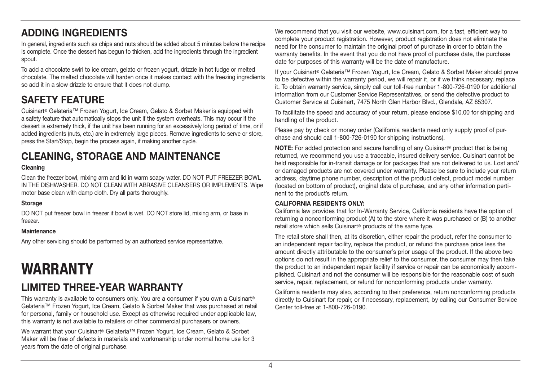## **ADDING INGREDIENTS**

In general, ingredients such as chips and nuts should be added about 5 minutes before the recipe is complete. Once the dessert has begun to thicken, add the ingredients through the ingredient spout.

To add a chocolate swirl to ice cream, gelato or frozen yogurt, drizzle in hot fudge or melted chocolate. The melted chocolate will harden once it makes contact with the freezing ingredients so add it in a slow drizzle to ensure that it does not clump.

## **SAFETY FEATURE**

Cuisinart® Gelateria™ Frozen Yogurt, Ice Cream, Gelato & Sorbet Maker is equipped with a safety feature that automatically stops the unit if the system overheats. This may occur if the dessert is extremely thick, if the unit has been running for an excessively long period of time, or if added ingredients (nuts, etc.) are in extremely large pieces. Remove ingredients to serve or store, press the Start/Stop, begin the process again, if making another cycle.

## **CLEANING, STORAGE AND MAINTENANCE**

#### **Cleaning**

Clean the freezer bowl, mixing arm and lid in warm soapy water. DO NOT PUT FREEZER BOWL IN THE DISHWASHER. DO NOT CLEAN WITH ABRASIVE CLEANSERS OR IMPLEMENTS. Wipe motor base clean with damp cloth. Dry all parts thoroughly.

#### **Storage**

DO NOT put freezer bowl in freezer if bowl is wet. DO NOT store lid, mixing arm, or base in freezer

#### **Maintenance**

Any other servicing should be performed by an authorized service representative.

## **WARRANTY**

## **LIMITED THREE-YEAR WARRANTY**

This warranty is available to consumers only. You are a consumer if you own a Cuisinart® Gelateria™ Frozen Yogurt, Ice Cream, Gelato & Sorbet Maker that was purchased at retail for personal, family or household use. Except as otherwise required under applicable law, this warranty is not available to retailers or other commercial purchasers or owners.

We warrant that your Cuisinart® Gelateria™ Frozen Yogurt, Ice Cream, Gelato & Sorbet Maker will be free of defects in materials and workmanship under normal home use for 3 years from the date of original purchase.

We recommend that you visit our website, www.cuisinart.com, for a fast, efficient way to complete your product registration. However, product registration does not eliminate the need for the consumer to maintain the original proof of purchase in order to obtain the warranty benefits. In the event that you do not have proof of purchase date, the purchase date for purposes of this warranty will be the date of manufacture.

If your Cuisinart® Gelateria™ Frozen Yogurt, Ice Cream, Gelato & Sorbet Maker should prove to be defective within the warranty period, we will repair it, or if we think necessary, replace it. To obtain warranty service, simply call our toll-free number 1-800-726-0190 for additional information from our Customer Service Representatives, or send the defective product to Customer Service at Cuisinart, 7475 North Glen Harbor Blvd., Glendale, AZ 85307.

To facilitate the speed and accuracy of your return, please enclose \$10.00 for shipping and handling of the product.

Please pay by check or money order (California residents need only supply proof of purchase and should call 1-800-726-0190 for shipping instructions).

**NOTE:** For added protection and secure handling of any Cuisinart® product that is being returned, we recommend you use a traceable, insured delivery service. Cuisinart cannot be held responsible for in-transit damage or for packages that are not delivered to us. Lost and/ or damaged products are not covered under warranty. Please be sure to include your return address, daytime phone number, description of the product defect, product model number (located on bottom of product), original date of purchase, and any other information pertinent to the product's return.

#### **CALIFORNIA RESIDENTS ONLY:**

California law provides that for In-Warranty Service, California residents have the option of returning a nonconforming product (A) to the store where it was purchased or (B) to another retail store which sells Cuisinart® products of the same type.

The retail store shall then, at its discretion, either repair the product, refer the consumer to an independent repair facility, replace the product, or refund the purchase price less the amount directly attributable to the consumer's prior usage of the product. If the above two options do not result in the appropriate relief to the consumer, the consumer may then take the product to an independent repair facility if service or repair can be economically accomplished. Cuisinart and not the consumer will be responsible for the reasonable cost of such service, repair, replacement, or refund for nonconforming products under warranty.

California residents may also, according to their preference, return nonconforming products directly to Cuisinart for repair, or if necessary, replacement, by calling our Consumer Service Center toll-free at 1-800-726-0190.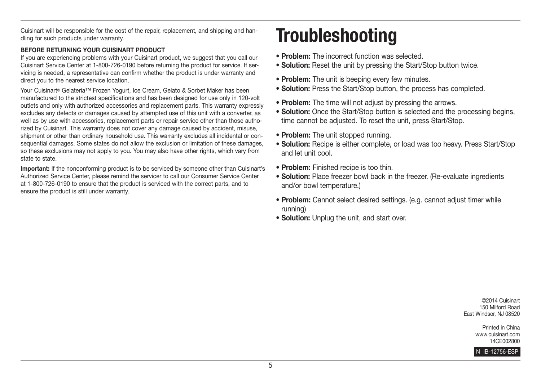Cuisinart will be responsible for the cost of the repair, replacement, and shipping and handling for such products under warranty.

#### **BEFORE RETURNING YOUR CUISINART PRODUCT**

If you are experiencing problems with your Cuisinart product, we suggest that you call our Cuisinart Service Center at 1-800-726-0190 before returning the product for service. If servicing is needed, a representative can confirm whether the product is under warranty and direct you to the nearest service location.

Your Cuisinart® Gelateria™ Frozen Yogurt, Ice Cream, Gelato & Sorbet Maker has been manufactured to the strictest specifications and has been designed for use only in 120-volt outlets and only with authorized accessories and replacement parts. This warranty expressly excludes any defects or damages caused by attempted use of this unit with a converter, as well as by use with accessories, replacement parts or repair service other than those authorized by Cuisinart. This warranty does not cover any damage caused by accident, misuse, shipment or other than ordinary household use. This warranty excludes all incidental or consequential damages. Some states do not allow the exclusion or limitation of these damages, so these exclusions may not apply to you. You may also have other rights, which vary from state to state.

**Important:** If the nonconforming product is to be serviced by someone other than Cuisinart's Authorized Service Center, please remind the servicer to call our Consumer Service Center at 1-800-726-0190 to ensure that the product is serviced with the correct parts, and to ensure the product is still under warranty.

# **Troubleshooting**

- r**Problem:** The incorrect function was selected.
- **Solution:** Reset the unit by pressing the Start/Stop button twice.
- **Problem:** The unit is beeping every few minutes.
- **Solution:** Press the Start/Stop button, the process has completed.
- **Problem:** The time will not adjust by pressing the arrows.
- **Solution:** Once the Start/Stop button is selected and the processing begins, time cannot be adjusted. To reset the unit, press Start/Stop.
- **Problem:** The unit stopped running.
- **Solution:** Recipe is either complete, or load was too heavy. Press Start/Stop and let unit cool.
- **Problem:** Finished recipe is too thin.
- **Solution:** Place freezer bowl back in the freezer. (Re-evaluate ingredients and/or bowl temperature.)
- Problem: Cannot select desired settings. (e.g. cannot adjust timer while running)
- **Solution:** Unplug the unit, and start over.

©2014 Cuisinart 150 Milford Road East Windsor, NJ 08520

> Printed in China www.cuisinart.com 14CE002800

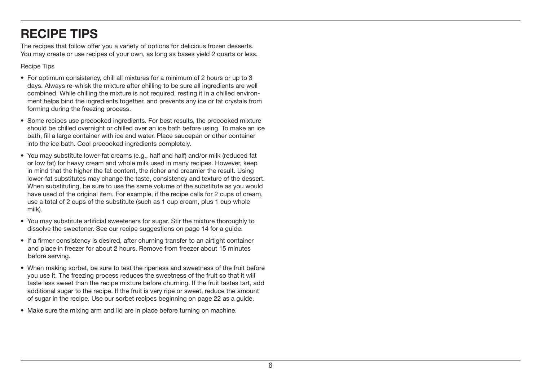## **RECIPE TIPS**

The recipes that follow offer you a variety of options for delicious frozen desserts. You may create or use recipes of your own, as long as bases yield 2 quarts or less.

Recipe Tips

- For optimum consistency, chill all mixtures for a minimum of 2 hours or up to 3 days. Always re-whisk the mixture after chilling to be sure all ingredients are well combined. While chilling the mixture is not required, resting it in a chilled environment helps bind the ingredients together, and prevents any ice or fat crystals from forming during the freezing process.
- Some recipes use precooked ingredients. For best results, the precooked mixture should be chilled overnight or chilled over an ice bath before using. To make an ice bath, fill a large container with ice and water. Place saucepan or other container into the ice bath. Cool precooked ingredients completely.
- You may substitute lower-fat creams (e.g., half and half) and/or milk (reduced fat or low fat) for heavy cream and whole milk used in many recipes. However, keep in mind that the higher the fat content, the richer and creamier the result. Using lower-fat substitutes may change the taste, consistency and texture of the dessert. When substituting, be sure to use the same volume of the substitute as you would have used of the original item. For example, if the recipe calls for 2 cups of cream, use a total of 2 cups of the substitute (such as 1 cup cream, plus 1 cup whole milk).
- You may substitute artificial sweeteners for sugar. Stir the mixture thoroughly to dissolve the sweetener. See our recipe suggestions on page 14 for a guide.
- If a firmer consistency is desired, after churning transfer to an airtight container and place in freezer for about 2 hours. Remove from freezer about 15 minutes before serving.
- When making sorbet, be sure to test the ripeness and sweetness of the fruit before you use it. The freezing process reduces the sweetness of the fruit so that it will taste less sweet than the recipe mixture before churning. If the fruit tastes tart, add additional sugar to the recipe. If the fruit is very ripe or sweet, reduce the amount of sugar in the recipe. Use our sorbet recipes beginning on page 22 as a guide.
- Make sure the mixing arm and lid are in place before turning on machine.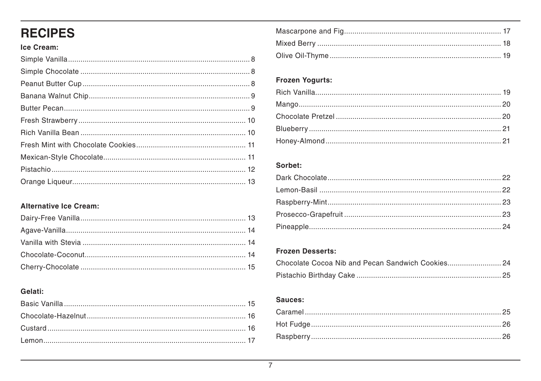## **RECIPES**

### Ice Cream:

## **Alternative Ice Cream:**

### Gelati:

### Frozen Yogurts:

#### Sorbet:

#### **Frozen Desserts:**

#### Sauces: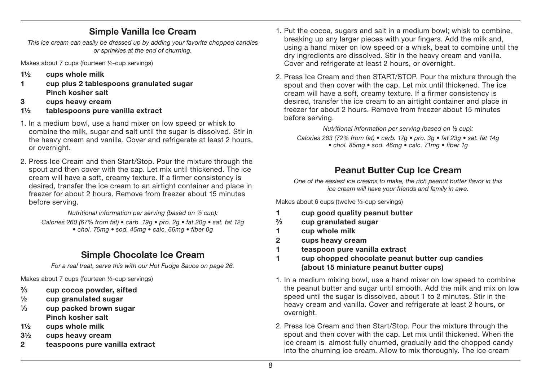## **Simple Vanilla Ice Cream**

This ice cream can easily be dressed up by adding your favorite chopped candies or sprinkles at the end of churning.

Makes about 7 cups (fourteen ½-cup servings)

- **1½ cups whole milk**
- **1 cup plus 2 tablespoons granulated sugar Pinch kosher salt**
- **3 cups heavy cream**
- **1½ tablespoons pure vanilla extract**
- 1. In a medium bowl, use a hand mixer on low speed or whisk to combine the milk, sugar and salt until the sugar is dissolved. Stir in the heavy cream and vanilla. Cover and refrigerate at least 2 hours, or overnight.
- 2. Press Ice Cream and then Start/Stop. Pour the mixture through the spout and then cover with the cap. Let mix until thickened. The ice cream will have a soft, creamy texture. If a firmer consistency is desired, transfer the ice cream to an airtight container and place in freezer for about 2 hours. Remove from freezer about 15 minutes before serving.

Nutritional information per serving (based on ½ cup): Calories 260 (67% from fat)  $\bullet$  carb. 19g  $\bullet$  pro. 2g  $\bullet$  fat 20g  $\bullet$  sat. fat 12g • chol. 75mg • sod. 45mg • calc. 66mg • fiber 0g

## **Simple Chocolate Ice Cream**

For a real treat, serve this with our Hot Fudge Sauce on page 26.

Makes about 7 cups (fourteen ½-cup servings)

- **2⁄3 cup cocoa powder, sifted**
- **½ cup granulated sugar**
- **1⁄3 cup packed brown sugar Pinch kosher salt**
- **1½ cups whole milk**
- **3½ cups heavy cream**
- **2 teaspoons pure vanilla extract**
- 1. Put the cocoa, sugars and salt in a medium bowl; whisk to combine, breaking up any larger pieces with your fingers. Add the milk and, using a hand mixer on low speed or a whisk, beat to combine until the dry ingredients are dissolved. Stir in the heavy cream and vanilla. Cover and refrigerate at least 2 hours, or overnight.
- 2. Press Ice Cream and then START/STOP. Pour the mixture through the spout and then cover with the cap. Let mix until thickened. The ice cream will have a soft, creamy texture. If a firmer consistency is desired, transfer the ice cream to an airtight container and place in freezer for about 2 hours. Remove from freezer about 15 minutes before serving.

Nutritional information per serving (based on ½ cup): Calories 283 (72% from fat)  $\bullet$  carb. 17g  $\bullet$  pro. 3g  $\bullet$  fat 23g  $\bullet$  sat. fat 14g • chol. 85mg • sod. 46mg • calc. 71mg • fiber 1g

## **Peanut Butter Cup Ice Cream**

One of the easiest ice creams to make, the rich peanut butter flavor in this ice cream will have your friends and family in awe.

Makes about 6 cups (twelve ½-cup servings)

- **1 cup good quality peanut butter**
- **2⁄3 cup granulated sugar**
- **1 cup whole milk**
- **2 cups heavy cream**
- **1 teaspoon pure vanilla extract**
- **1 cup chopped chocolate peanut butter cup candies (about 15 miniature peanut butter cups)**
- 1. In a medium mixing bowl, use a hand mixer on low speed to combine the peanut butter and sugar until smooth. Add the milk and mix on low speed until the sugar is dissolved, about 1 to 2 minutes. Stir in the heavy cream and vanilla. Cover and refrigerate at least 2 hours, or overnight.
- 2. Press Ice Cream and then Start/Stop. Pour the mixture through the spout and then cover with the cap. Let mix until thickened. When the ice cream is almost fully churned, gradually add the chopped candy into the churning ice cream. Allow to mix thoroughly. The ice cream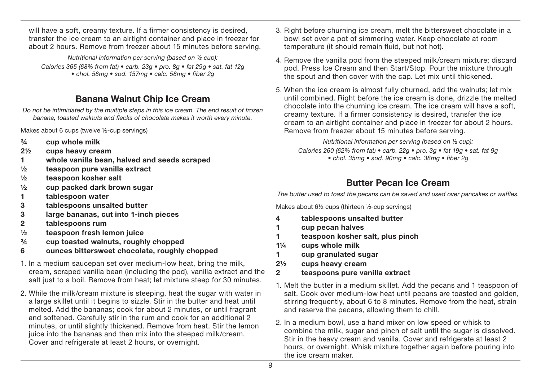will have a soft, creamy texture. If a firmer consistency is desired, transfer the ice cream to an airtight container and place in freezer for about 2 hours. Remove from freezer about 15 minutes before serving.

Nutritional information per serving (based on ½ cup): Calories 365 (68% from fat) • carb. 23g • pro. 8g • fat 29g • sat. fat 12g  $\cdot$  chol. 58mg  $\cdot$  sod. 157mg  $\cdot$  calc. 58mg  $\cdot$  fiber 2g

## **Banana Walnut Chip Ice Cream**

Do not be intimidated by the multiple steps in this ice cream. The end result of frozen banana, toasted walnuts and flecks of chocolate makes it worth every minute.

Makes about 6 cups (twelve ½-cup servings)

- **¾ cup whole milk**
- **2½ cups heavy cream**
- **1 whole vanilla bean, halved and seeds scraped**
- **½ teaspoon pure vanilla extract**
- **½ teaspoon kosher salt**
- **½ cup packed dark brown sugar**
- **1 tablespoon water**
- **3 tablespoons unsalted butter**
- **3 large bananas, cut into 1-inch pieces**
- **2 tablespoons rum**
- **½ teaspoon fresh lemon juice**
- **¾ cup toasted walnuts, roughly chopped**
- **6 ounces bittersweet chocolate, roughly chopped**
- 1. In a medium saucepan set over medium-low heat, bring the milk, cream, scraped vanilla bean (including the pod), vanilla extract and the salt just to a boil. Remove from heat; let mixture steep for 30 minutes.
- 2. While the milk/cream mixture is steeping, heat the sugar with water in a large skillet until it begins to sizzle. Stir in the butter and heat until melted. Add the bananas; cook for about 2 minutes, or until fragrant and softened. Carefully stir in the rum and cook for an additional 2 minutes, or until slightly thickened. Remove from heat. Stir the lemon juice into the bananas and then mix into the steeped milk/cream. Cover and refrigerate at least 2 hours, or overnight.
- 3. Right before churning ice cream, melt the bittersweet chocolate in a bowl set over a pot of simmering water. Keep chocolate at room temperature (it should remain fluid, but not hot).
- 4. Remove the vanilla pod from the steeped milk/cream mixture; discard pod. Press Ice Cream and then Start/Stop. Pour the mixture through the spout and then cover with the cap. Let mix until thickened.
- 5. When the ice cream is almost fully churned, add the walnuts; let mix until combined. Right before the ice cream is done, drizzle the melted chocolate into the churning ice cream. The ice cream will have a soft, creamy texture. If a firmer consistency is desired, transfer the ice cream to an airtight container and place in freezer for about 2 hours. Remove from freezer about 15 minutes before serving.

Nutritional information per serving (based on ½ cup): Calories 260 (62% from fat)  $\bullet$  carb. 22g  $\bullet$  pro. 3g  $\bullet$  fat 19g  $\bullet$  sat. fat 9g • chol. 35mg • sod. 90mg • calc. 38mg • fiber 2g

## **Butter Pecan Ice Cream**

The butter used to toast the pecans can be saved and used over pancakes or waffles.

Makes about 6½ cups (thirteen ½-cup servings)

- **4 tablespoons unsalted butter**
- **1 cup pecan halves**
- **1 teaspoon kosher salt, plus pinch**
- **1¼ cups whole milk**
- **1 cup granulated sugar**
- **2½ cups heavy cream**
- **2 teaspoons pure vanilla extract**
- 1. Melt the butter in a medium skillet. Add the pecans and 1 teaspoon of salt. Cook over medium-low heat until pecans are toasted and golden, stirring frequently, about 6 to 8 minutes. Remove from the heat, strain and reserve the pecans, allowing them to chill.
- 2. In a medium bowl, use a hand mixer on low speed or whisk to combine the milk, sugar and pinch of salt until the sugar is dissolved. Stir in the heavy cream and vanilla. Cover and refrigerate at least 2 hours, or overnight. Whisk mixture together again before pouring into the ice cream maker.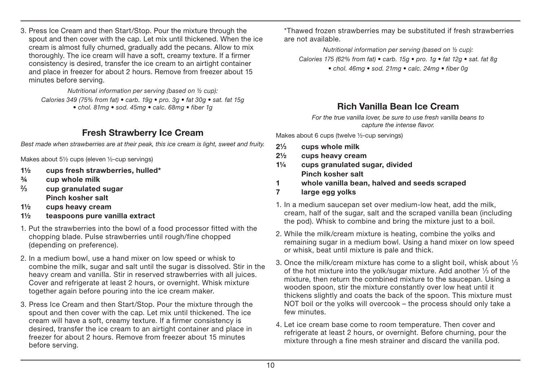3. Press Ice Cream and then Start/Stop. Pour the mixture through the spout and then cover with the cap. Let mix until thickened. When the ice cream is almost fully churned, gradually add the pecans. Allow to mix thoroughly. The ice cream will have a soft, creamy texture. If a firmer consistency is desired, transfer the ice cream to an airtight container and place in freezer for about 2 hours. Remove from freezer about 15 minutes before serving.

Nutritional information per serving (based on ½ cup): Calories 349 (75% from fat) • carb. 19g • pro. 3g • fat 30g • sat. fat 15g • chol. 81mg • sod. 45mg • calc. 68mg • fiber 1g

## **Fresh Strawberry Ice Cream**

Best made when strawberries are at their peak, this ice cream is light, sweet and fruity.

Makes about 5½ cups (eleven ½-cup servings)

- **1½ cups fresh strawberries, hulled\***
- **¾ cup whole milk**
- **2⁄3 cup granulated sugar Pinch kosher salt**
- **1½ cups heavy cream**
- **1½ teaspoons pure vanilla extract**
- 1. Put the strawberries into the bowl of a food processor fitted with the chopping blade. Pulse strawberries until rough/fine chopped (depending on preference).
- 2. In a medium bowl, use a hand mixer on low speed or whisk to combine the milk, sugar and salt until the sugar is dissolved. Stir in the heavy cream and vanilla. Stir in reserved strawberries with all juices. Cover and refrigerate at least 2 hours, or overnight. Whisk mixture together again before pouring into the ice cream maker.
- 3. Press Ice Cream and then Start/Stop. Pour the mixture through the spout and then cover with the cap. Let mix until thickened. The ice cream will have a soft, creamy texture. If a firmer consistency is desired, transfer the ice cream to an airtight container and place in freezer for about 2 hours. Remove from freezer about 15 minutes before serving.

 \*Thawed frozen strawberries may be substituted if fresh strawberries are not available.

Nutritional information per serving (based on ½ cup): Calories 175 (62% from fat) • carb. 15g • pro. 1g • fat 12g • sat. fat 8g • chol. 46mg • sod. 21mg • calc. 24mg • fiber 0g

## **Rich Vanilla Bean Ice Cream**

For the true vanilla lover, be sure to use fresh vanilla beans to capture the intense flavor.

Makes about 6 cups (twelve ½-cup servings)

- **21⁄3 cups whole milk**
- **2½ cups heavy cream**
- **1¼ cups granulated sugar, divided Pinch kosher salt**
- **1 whole vanilla bean, halved and seeds scraped**
- **7 large egg yolks**
- 1. In a medium saucepan set over medium-low heat, add the milk, cream, half of the sugar, salt and the scraped vanilla bean (including the pod). Whisk to combine and bring the mixture just to a boil.
- 2. While the milk/cream mixture is heating, combine the yolks and remaining sugar in a medium bowl. Using a hand mixer on low speed or whisk, beat until mixture is pale and thick.
- 3. Once the milk/cream mixture has come to a slight boil, whisk about  $\frac{1}{3}$ of the hot mixture into the yolk/sugar mixture. Add another  $\frac{1}{3}$  of the mixture, then return the combined mixture to the saucepan. Using a wooden spoon, stir the mixture constantly over low heat until it thickens slightly and coats the back of the spoon. This mixture must NOT boil or the yolks will overcook – the process should only take a few minutes.
- 4. Let ice cream base come to room temperature. Then cover and refrigerate at least 2 hours, or overnight. Before churning, pour the mixture through a fine mesh strainer and discard the vanilla pod.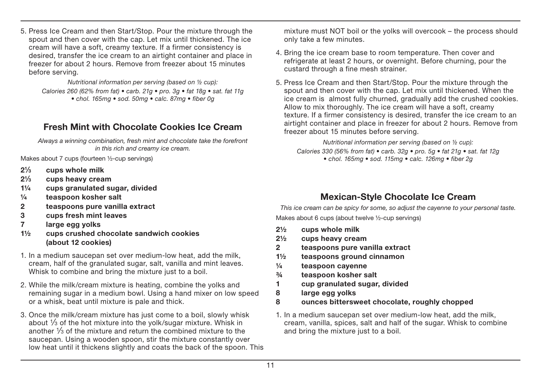5. Press Ice Cream and then Start/Stop. Pour the mixture through the spout and then cover with the cap. Let mix until thickened. The ice cream will have a soft, creamy texture. If a firmer consistency is desired, transfer the ice cream to an airtight container and place in freezer for about 2 hours. Remove from freezer about 15 minutes before serving.

> Nutritional information per serving (based on ½ cup): Calories 260 (62% from fat)  $\bullet$  carb. 21g  $\bullet$  pro. 3g  $\bullet$  fat 18g  $\bullet$  sat. fat 11g  $\bullet$  chol. 165mg  $\bullet$  sod. 50mg  $\bullet$  calc. 87mg  $\bullet$  fiber 0g

## **Fresh Mint with Chocolate Cookies Ice Cream**

Always a winning combination, fresh mint and chocolate take the forefront in this rich and creamy ice cream.

Makes about 7 cups (fourteen ½-cup servings)

- **21⁄3 cups whole milk**
- **21⁄3 cups heavy cream**
- **1¼ cups granulated sugar, divided**
- **¼ teaspoon kosher salt**
- **2 teaspoons pure vanilla extract**
- **3 cups fresh mint leaves**
- **7 large egg yolks**
- **1½ cups crushed chocolate sandwich cookies (about 12 cookies)**
- 1. In a medium saucepan set over medium-low heat, add the milk, cream, half of the granulated sugar, salt, vanilla and mint leaves. Whisk to combine and bring the mixture just to a boil.
- 2. While the milk/cream mixture is heating, combine the yolks and remaining sugar in a medium bowl. Using a hand mixer on low speed or a whisk, beat until mixture is pale and thick.
- 3. Once the milk/cream mixture has just come to a boil, slowly whisk about  $\frac{1}{3}$  of the hot mixture into the yolk/sugar mixture. Whisk in another  $\frac{1}{3}$  of the mixture and return the combined mixture to the saucepan. Using a wooden spoon, stir the mixture constantly over low heat until it thickens slightly and coats the back of the spoon. This

mixture must NOT boil or the yolks will overcook – the process should only take a few minutes.

- 4. Bring the ice cream base to room temperature. Then cover and refrigerate at least 2 hours, or overnight. Before churning, pour the custard through a fine mesh strainer.
- 5. Press Ice Cream and then Start/Stop. Pour the mixture through the spout and then cover with the cap. Let mix until thickened. When the ice cream is almost fully churned, gradually add the crushed cookies. Allow to mix thoroughly. The ice cream will have a soft, creamy texture. If a firmer consistency is desired, transfer the ice cream to an airtight container and place in freezer for about 2 hours. Remove from freezer about 15 minutes before serving.

Nutritional information per serving (based on ½ cup): Calories 330 (56% from fat)  $\bullet$  carb. 32g  $\bullet$  pro. 5g  $\bullet$  fat 21g  $\bullet$  sat. fat 12g • chol. 165mg • sod. 115mg • calc. 126mg • fiber 2g

## **Mexican-Style Chocolate Ice Cream**

This ice cream can be spicy for some, so adjust the cayenne to your personal taste. Makes about 6 cups (about twelve 1/2-cup servings)

- **2½ cups whole milk**
- **2½ cups heavy cream**
- **2 teaspoons pure vanilla extract**
- **1½ teaspoons ground cinnamon**
- **¼ teaspoon cayenne**
- **¾ teaspoon kosher salt**
- **1 cup granulated sugar, divided**
- **8 large egg yolks**
- **8 ounces bittersweet chocolate, roughly chopped**
- 1. In a medium saucepan set over medium-low heat, add the milk, cream, vanilla, spices, salt and half of the sugar. Whisk to combine and bring the mixture just to a boil.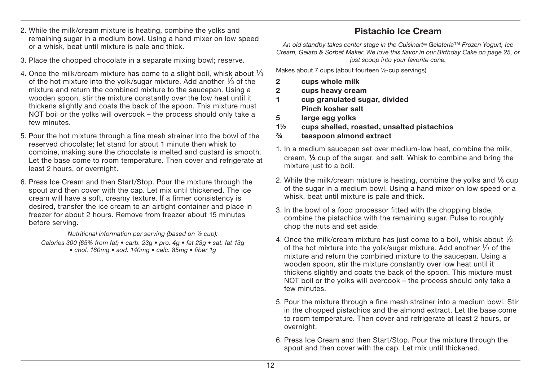- 2. While the milk/cream mixture is heating, combine the yolks and remaining sugar in a medium bowl. Using a hand mixer on low speed or a whisk, beat until mixture is pale and thick.
- 3. Place the chopped chocolate in a separate mixing bowl; reserve.
- 4. Once the milk/cream mixture has come to a slight boil, whisk about  $\frac{1}{3}$ of the hot mixture into the yolk/sugar mixture. Add another  $\frac{1}{3}$  of the mixture and return the combined mixture to the saucepan. Using a wooden spoon, stir the mixture constantly over the low heat until it thickens slightly and coats the back of the spoon. This mixture must NOT boil or the yolks will overcook – the process should only take a few minutes.
- 5. Pour the hot mixture through a fine mesh strainer into the bowl of the reserved chocolate; let stand for about 1 minute then whisk to combine, making sure the chocolate is melted and custard is smooth. Let the base come to room temperature. Then cover and refrigerate at least 2 hours, or overnight.
- 6. Press Ice Cream and then Start/Stop. Pour the mixture through the spout and then cover with the cap. Let mix until thickened. The ice cream will have a soft, creamy texture. If a firmer consistency is desired, transfer the ice cream to an airtight container and place in freezer for about 2 hours. Remove from freezer about 15 minutes before serving.

Nutritional information per serving (based on ½ cup):

Calories 300 (65% from fat) • carb. 23g • pro. 4g • fat 23g • sat. fat 13g • chol. 160mg · sod. 140mg · calc. 85mg · fiber 1a

## **Pistachio Ice Cream**

An old standby takes center stage in the Cuisinart® Gelateria™ Frozen Yogurt, Ice Cream, Gelato & Sorbet Maker, We love this flavor in our Birthday Cake on page 25, or just scoop into your favorite cone.

Makes about 7 cups (about fourteen ½-cup servings)

- **2 cups whole milk**
- **2 cups heavy cream**
- **1 cup granulated sugar, divided Pinch kosher salt**
- **5 large egg yolks**
- **1½ cups shelled, roasted, unsalted pistachios**
- **¾ teaspoon almond extract**
- 1. In a medium saucepan set over medium-low heat, combine the milk, cream, **1⁄3** cup of the sugar, and salt. Whisk to combine and bring the mixture just to a boil.
- 2. While the milk/cream mixture is heating, combine the yolks and **1⁄3** cup of the sugar in a medium bowl. Using a hand mixer on low speed or a whisk, beat until mixture is pale and thick.
- 3. In the bowl of a food processor fitted with the chopping blade, combine the pistachios with the remaining sugar. Pulse to roughly chop the nuts and set aside.
- 4. Once the milk/cream mixture has just come to a boil, whisk about  $\frac{1}{3}$ of the hot mixture into the yolk/sugar mixture. Add another  $\frac{1}{3}$  of the mixture and return the combined mixture to the saucepan. Using a wooden spoon, stir the mixture constantly over low heat until it thickens slightly and coats the back of the spoon. This mixture must NOT boil or the yolks will overcook – the process should only take a few minutes.
- 5. Pour the mixture through a fine mesh strainer into a medium bowl. Stir in the chopped pistachios and the almond extract. Let the base come to room temperature. Then cover and refrigerate at least 2 hours, or overnight.
- 6. Press Ice Cream and then Start/Stop. Pour the mixture through the spout and then cover with the cap. Let mix until thickened.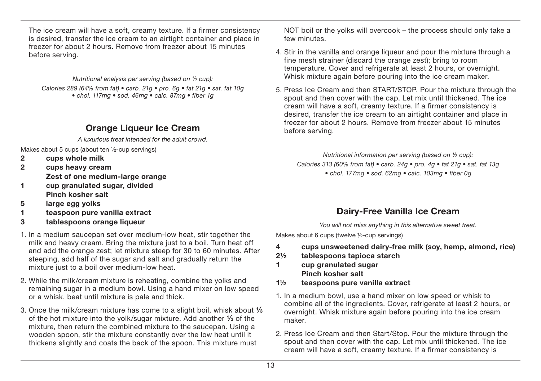The ice cream will have a soft, creamy texture. If a firmer consistency is desired, transfer the ice cream to an airtight container and place in freezer for about 2 hours. Remove from freezer about 15 minutes before serving.

Nutritional analysis per serving (based on ½ cup): Calories 289 (64% from fat) • carb. 21g • pro. 6g • fat 21g • sat. fat 10g • chol. 117mg • sod. 46mg • calc. 87mg • fiber 1g

## **Orange Liqueur Ice Cream**

A luxurious treat intended for the adult crowd.

Makes about 5 cups (about ten ½-cup servings)

- **2 cups whole milk**
- **2 cups heavy cream Zest of one medium-large orange**
- **1 cup granulated sugar, divided Pinch kosher salt**
- **5 large egg yolks**
- **1 teaspoon pure vanilla extract**
- **3 tablespoons orange liqueur**
- 1. In a medium saucepan set over medium-low heat, stir together the milk and heavy cream. Bring the mixture just to a boil. Turn heat off and add the orange zest; let mixture steep for 30 to 60 minutes. After steeping, add half of the sugar and salt and gradually return the mixture just to a boil over medium-low heat.
- 2. While the milk/cream mixture is reheating, combine the yolks and remaining sugar in a medium bowl. Using a hand mixer on low speed or a whisk, beat until mixture is pale and thick.
- 3. Once the milk/cream mixture has come to a slight boil, whisk about **1⁄3** of the hot mixture into the yolk/sugar mixture. Add another **1⁄3** of the mixture, then return the combined mixture to the saucepan. Using a wooden spoon, stir the mixture constantly over the low heat until it thickens slightly and coats the back of the spoon. This mixture must

NOT boil or the yolks will overcook – the process should only take a few minutes.

- 4. Stir in the vanilla and orange liqueur and pour the mixture through a fine mesh strainer (discard the orange zest); bring to room temperature. Cover and refrigerate at least 2 hours, or overnight. Whisk mixture again before pouring into the ice cream maker.
- 5. Press Ice Cream and then START/STOP. Pour the mixture through the spout and then cover with the cap. Let mix until thickened. The ice cream will have a soft, creamy texture. If a firmer consistency is desired, transfer the ice cream to an airtight container and place in freezer for about 2 hours. Remove from freezer about 15 minutes before serving.

Nutritional information per serving (based on ½ cup): Calories 313 (60% from fat) • carb. 24g • pro. 4g • fat 21g • sat. fat 13g • chol. 177mg • sod. 62mg • calc. 103mg • fiber 0g

## **Dairy-Free Vanilla Ice Cream**

You will not miss anything in this alternative sweet treat.

Makes about 6 cups (twelve ½-cup servings)

- **4 cups unsweetened dairy-free milk (soy, hemp, almond, rice)**
- **2½ tablespoons tapioca starch**
- **1 cup granulated sugar Pinch kosher salt**
- **1½ teaspoons pure vanilla extract**
- 1. In a medium bowl, use a hand mixer on low speed or whisk to combine all of the ingredients. Cover, refrigerate at least 2 hours, or overnight. Whisk mixture again before pouring into the ice cream maker.
- 2. Press Ice Cream and then Start/Stop. Pour the mixture through the spout and then cover with the cap. Let mix until thickened. The ice cream will have a soft, creamy texture. If a firmer consistency is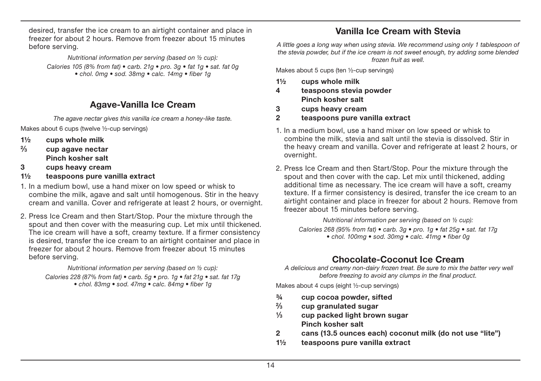desired, transfer the ice cream to an airtight container and place in freezer for about 2 hours. Remove from freezer about 15 minutes before serving.

Nutritional information per serving (based on ½ cup):

Calories 105 (8% from fat)  $\bullet$  carb. 21g  $\bullet$  pro. 3g  $\bullet$  fat 1g  $\bullet$  sat. fat 0g  $\bullet$  chol. 0mg  $\bullet$  sod. 38mg  $\bullet$  calc. 14mg  $\bullet$  fiber 1g

## **Agave-Vanilla Ice Cream**

The agave nectar gives this vanilla ice cream a honey-like taste.

Makes about 6 cups (twelve ½-cup servings)

- **1½ cups whole milk**
- **2⁄3 cup agave nectar Pinch kosher salt**
- **3 cups heavy cream**
- **1½ teaspoons pure vanilla extract**
- 1. In a medium bowl, use a hand mixer on low speed or whisk to combine the milk, agave and salt until homogenous. Stir in the heavy cream and vanilla. Cover and refrigerate at least 2 hours, or overnight.
- 2. Press Ice Cream and then Start/Stop. Pour the mixture through the spout and then cover with the measuring cup. Let mix until thickened. The ice cream will have a soft, creamy texture. If a firmer consistency is desired, transfer the ice cream to an airtight container and place in freezer for about 2 hours. Remove from freezer about 15 minutes before serving.

Nutritional information per serving (based on ½ cup):

Calories 228 (87% from fat)  $\bullet$  carb. 5g  $\bullet$  pro. 1g  $\bullet$  fat 21g  $\bullet$  sat. fat 17g • chol. 83mg • sod. 47mg • calc. 84mg • fiber 1g

## **Vanilla Ice Cream with Stevia**

A little goes a long way when using stevia. We recommend using only 1 tablespoon of the stevia powder, but if the ice cream is not sweet enough, try adding some blended frozen fruit as well.

Makes about 5 cups (ten ½-cup servings)

- **1½ cups whole milk**
- **4 teaspoons stevia powder Pinch kosher salt**
- **3 cups heavy cream**
- **2 teaspoons pure vanilla extract**
- 1. In a medium bowl, use a hand mixer on low speed or whisk to combine the milk, stevia and salt until the stevia is dissolved. Stir in the heavy cream and vanilla. Cover and refrigerate at least 2 hours, or overnight.
- 2. Press Ice Cream and then Start/Stop. Pour the mixture through the spout and then cover with the cap. Let mix until thickened, adding additional time as necessary. The ice cream will have a soft, creamy texture. If a firmer consistency is desired, transfer the ice cream to an airtight container and place in freezer for about 2 hours. Remove from freezer about 15 minutes before serving.

Nutritional information per serving (based on ½ cup):

Calories 268 (95% from fat)  $\bullet$  carb. 3g  $\bullet$  pro. 1g  $\bullet$  fat 25g  $\bullet$  sat. fat 17g  $\bullet$  chol. 100mg  $\bullet$  sod. 30mg  $\bullet$  calc. 41mg  $\bullet$  fiber 0g

## **Chocolate-Coconut Ice Cream**

 A delicious and creamy non-dairy frozen treat. Be sure to mix the batter very well before freezing to avoid any clumps in the final product.

Makes about 4 cups (eight ½-cup servings)

- **¾ cup cocoa powder, sifted**
- **2⁄3 cup granulated sugar**
- **1⁄3 cup packed light brown sugar Pinch kosher salt**
- **2 cans (13.5 ounces each) coconut milk (do not use "lite")**
- **1½ teaspoons pure vanilla extract**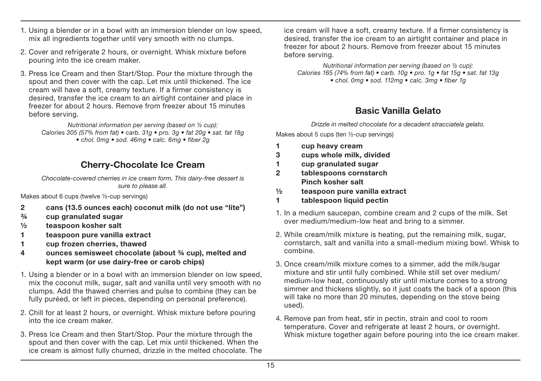- 1. Using a blender or in a bowl with an immersion blender on low speed, mix all ingredients together until very smooth with no clumps.
- 2. Cover and refrigerate 2 hours, or overnight. Whisk mixture before pouring into the ice cream maker.
- 3. Press Ice Cream and then Start/Stop. Pour the mixture through the spout and then cover with the cap. Let mix until thickened. The ice cream will have a soft, creamy texture. If a firmer consistency is desired, transfer the ice cream to an airtight container and place in freezer for about 2 hours. Remove from freezer about 15 minutes before serving.

Nutritional information per serving (based on ½ cup): Calories 305 (57% from fat) • carb. 31g • pro. 3g • fat 20g • sat. fat 18g  $\bullet$  chol. 0mg  $\bullet$  sod. 46mg  $\bullet$  calc. 6mg  $\bullet$  fiber 2g

## **Cherry-Chocolate Ice Cream**

Chocolate-covered cherries in ice cream form. This dairy-free dessert is sure to please all.

Makes about 6 cups (twelve ½-cup servings)

- **2 cans (13.5 ounces each) coconut milk (do not use "lite")**
- **¾ cup granulated sugar**
- **½ teaspoon kosher salt**
- **1 teaspoon pure vanilla extract**
- **1 cup frozen cherries, thawed**
- **4 ounces semisweet chocolate (about ¾ cup), melted and kept warm (or use dairy-free or carob chips)**
- 1. Using a blender or in a bowl with an immersion blender on low speed, mix the coconut milk, sugar, salt and vanilla until very smooth with no clumps. Add the thawed cherries and pulse to combine (they can be fully puréed, or left in pieces, depending on personal preference).
- 2. Chill for at least 2 hours, or overnight. Whisk mixture before pouring into the ice cream maker.
- 3. Press Ice Cream and then Start/Stop. Pour the mixture through the spout and then cover with the cap. Let mix until thickened. When the ice cream is almost fully churned, drizzle in the melted chocolate. The

ice cream will have a soft, creamy texture. If a firmer consistency is desired, transfer the ice cream to an airtight container and place in freezer for about 2 hours. Remove from freezer about 15 minutes before serving.

Nutritional information per serving (based on ½ cup): Calories 165 (74% from fat) • carb. 10g • pro. 1g • fat 15g • sat. fat 13g  $\cdot$  chol. 0mg  $\cdot$  sod. 112mg  $\cdot$  calc. 3mg  $\cdot$  fiber 1g

## **Basic Vanilla Gelato**

Drizzle in melted chocolate for a decadent stracciatela gelato.

Makes about 5 cups (ten ½-cup servings)

- **1 cup heavy cream**
- **3 cups whole milk, divided**
- **1 cup granulated sugar**
- **2 tablespoons cornstarch Pinch kosher salt**
- **½ teaspoon pure vanilla extract**
- **1 tablespoon liquid pectin**
- 1. In a medium saucepan, combine cream and 2 cups of the milk. Set over medium/medium-low heat and bring to a simmer.
- 2. While cream/milk mixture is heating, put the remaining milk, sugar, cornstarch, salt and vanilla into a small-medium mixing bowl. Whisk to combine.
- 3. Once cream/milk mixture comes to a simmer, add the milk/sugar mixture and stir until fully combined. While still set over medium/ medium-low heat, continuously stir until mixture comes to a strong simmer and thickens slightly, so it just coats the back of a spoon (this will take no more than 20 minutes, depending on the stove being used).
- 4. Remove pan from heat, stir in pectin, strain and cool to room temperature. Cover and refrigerate at least 2 hours, or overnight. Whisk mixture together again before pouring into the ice cream maker.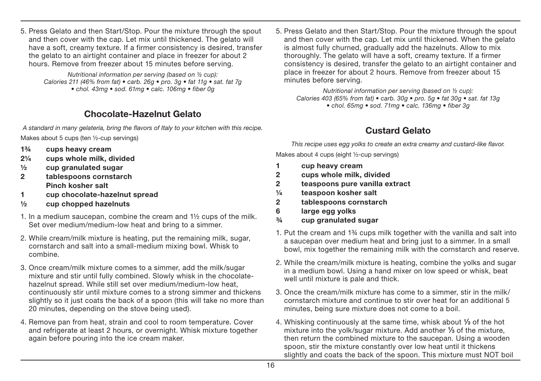5. Press Gelato and then Start/Stop. Pour the mixture through the spout and then cover with the cap. Let mix until thickened. The gelato will have a soft, creamy texture. If a firmer consistency is desired, transfer the gelato to an airtight container and place in freezer for about 2 hours. Remove from freezer about 15 minutes before serving.

> Nutritional information per serving (based on ½ cup): Calories 211 (46% from fat) • carb. 26g • pro. 3g • fat 11g • sat. fat 7g • chol. 43mg • sod. 61mg • calc. 106mg • fiber 0g

## **Chocolate-Hazelnut Gelato**

A standard in many gelateria, bring the flavors of Italy to your kitchen with this recipe.

Makes about 5 cups (ten ½-cup servings)

- **1¾ cups heavy cream**
- **2¼ cups whole milk, divided**
- **½ cup granulated sugar**
- **2 tablespoons cornstarch Pinch kosher salt**
- **1 cup chocolate-hazelnut spread**
- **½ cup chopped hazelnuts**
- 1. In a medium saucepan, combine the cream and 1½ cups of the milk. Set over medium/medium-low heat and bring to a simmer.
- 2. While cream/milk mixture is heating, put the remaining milk, sugar, cornstarch and salt into a small-medium mixing bowl. Whisk to combine.
- 3. Once cream/milk mixture comes to a simmer, add the milk/sugar mixture and stir until fully combined. Slowly whisk in the chocolatehazelnut spread. While still set over medium/medium-low heat, continuously stir until mixture comes to a strong simmer and thickens slightly so it just coats the back of a spoon (this will take no more than 20 minutes, depending on the stove being used).
- 4. Remove pan from heat, strain and cool to room temperature. Cover and refrigerate at least 2 hours, or overnight. Whisk mixture together again before pouring into the ice cream maker.

5. Press Gelato and then Start/Stop. Pour the mixture through the spout and then cover with the cap. Let mix until thickened. When the gelato is almost fully churned, gradually add the hazelnuts. Allow to mix thoroughly. The gelato will have a soft, creamy texture. If a firmer consistency is desired, transfer the gelato to an airtight container and place in freezer for about 2 hours. Remove from freezer about 15 minutes before serving.

Nutritional information per serving (based on ½ cup): Calories 403 (65% from fat) • carb. 30g • pro. 5g • fat 30g • sat. fat 13g • chol. 65mg • sod. 71mg • calc. 136mg • fiber 3g

## **Custard Gelato**

This recipe uses egg yolks to create an extra creamy and custard-like flavor. Makes about 4 cups (eight ½-cup servings)

- **1 cup heavy cream**
- **2 cups whole milk, divided**
- **2 teaspoons pure vanilla extract**
- **¼ teaspoon kosher salt**
- **2 tablespoons cornstarch**
- **6 large egg yolks**
- **¾ cup granulated sugar**
- 1. Put the cream and 1¾ cups milk together with the vanilla and salt into a saucepan over medium heat and bring just to a simmer. In a small bowl, mix together the remaining milk with the cornstarch and reserve.
- 2. While the cream/milk mixture is heating, combine the yolks and sugar in a medium bowl. Using a hand mixer on low speed or whisk, beat well until mixture is pale and thick.
- 3. Once the cream/milk mixture has come to a simmer, stir in the milk/ cornstarch mixture and continue to stir over heat for an additional 5 minutes, being sure mixture does not come to a boil.
- 4. Whisking continuously at the same time, whisk about **1⁄3** of the hot mixture into the yolk/sugar mixture. Add another **1⁄3** of the mixture, then return the combined mixture to the saucepan. Using a wooden spoon, stir the mixture constantly over low heat until it thickens slightly and coats the back of the spoon. This mixture must NOT boil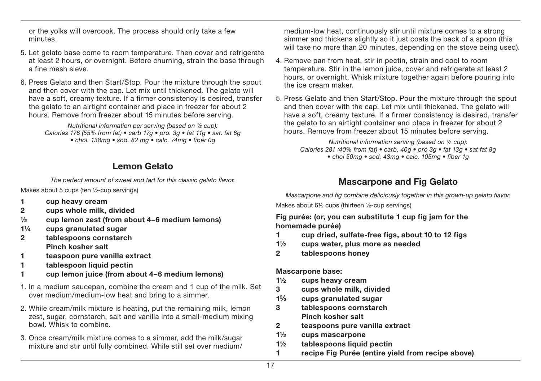or the yolks will overcook. The process should only take a few minutes.

- 5. Let gelato base come to room temperature. Then cover and refrigerate at least 2 hours, or overnight. Before churning, strain the base through a fine mesh sieve.
- 6. Press Gelato and then Start/Stop. Pour the mixture through the spout and then cover with the cap. Let mix until thickened. The gelato will have a soft, creamy texture. If a firmer consistency is desired, transfer the gelato to an airtight container and place in freezer for about 2 hours. Remove from freezer about 15 minutes before serving.

Nutritional information per serving (based on ½ cup): Calories 176 (55% from fat)  $\bullet$  carb 17g  $\bullet$  pro. 3g  $\bullet$  fat 11g  $\bullet$  sat. fat 6g • chol. 138ma • sod. 82 ma • calc. 74ma • fiber 0a

## **Lemon Gelato**

The perfect amount of sweet and tart for this classic gelato flavor.

Makes about 5 cups (ten ½-cup servings)

- **1 cup heavy cream**
- **2 cups whole milk, divided**
- **½ cup lemon zest (from about 4–6 medium lemons)**
- **1¼ cups granulated sugar**
- **2 tablespoons cornstarch Pinch kosher salt**
- **1 teaspoon pure vanilla extract**
- **1 tablespoon liquid pectin**
- **1 cup lemon juice (from about 4–6 medium lemons)**
- 1. In a medium saucepan, combine the cream and 1 cup of the milk. Set over medium/medium-low heat and bring to a simmer.
- 2. While cream/milk mixture is heating, put the remaining milk, lemon zest, sugar, cornstarch, salt and vanilla into a small-medium mixing bowl. Whisk to combine.
- 3. Once cream/milk mixture comes to a simmer, add the milk/sugar mixture and stir until fully combined. While still set over medium/

 medium-low heat, continuously stir until mixture comes to a strong simmer and thickens slightly so it just coats the back of a spoon (this will take no more than 20 minutes, depending on the stove being used).

- 4. Remove pan from heat, stir in pectin, strain and cool to room temperature. Stir in the lemon juice, cover and refrigerate at least 2 hours, or overnight. Whisk mixture together again before pouring into the ice cream maker.
- 5. Press Gelato and then Start/Stop. Pour the mixture through the spout and then cover with the cap. Let mix until thickened. The gelato will have a soft, creamy texture. If a firmer consistency is desired, transfer the gelato to an airtight container and place in freezer for about 2 hours. Remove from freezer about 15 minutes before serving.

Nutritional information serving (based on ½ cup): Calories 281 (40% from fat) • carb. 40g • pro 3g • fat 13g • sat fat 8g • chol 50mg • sod. 43mg • calc. 105mg • fiber 1g

## **Mascarpone and Fig Gelato**

Mascarpone and fig combine deliciously together in this grown-up gelato flavor.

Makes about 6½ cups (thirteen ½-cup servings)

**Fig purée: (or, you can substitute 1 cup fig jam for the homemade purée)**

- **1 cup dried, sulfate-free figs, about 10 to 12 figs**
- **1½ cups water, plus more as needed**
- **2 tablespoons honey**

#### **Mascarpone base:**

- **1½ cups heavy cream**
- **3 cups whole milk, divided**
- **12⁄3 cups granulated sugar**
- **3 tablespoons cornstarch Pinch kosher salt**
- **2 teaspoons pure vanilla extract**
- **1½ cups mascarpone**
- **1½ tablespoons liquid pectin**
- **1 recipe Fig Purée (entire yield from recipe above)**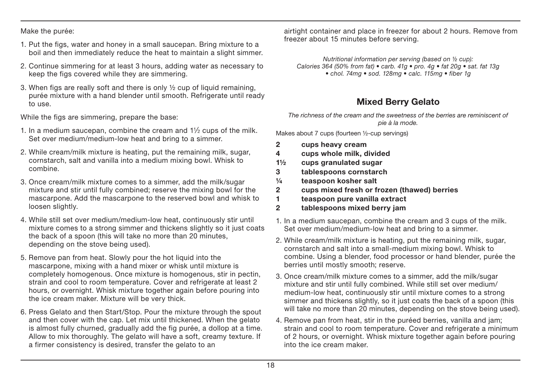Make the purée:

- 1. Put the figs, water and honey in a small saucepan. Bring mixture to a boil and then immediately reduce the heat to maintain a slight simmer.
- 2. Continue simmering for at least 3 hours, adding water as necessary to keep the figs covered while they are simmering.
- 3. When figs are really soft and there is only ½ cup of liquid remaining, purée mixture with a hand blender until smooth. Refrigerate until ready to use.

While the figs are simmering, prepare the base:

- 1. In a medium saucepan, combine the cream and  $1\frac{1}{2}$  cups of the milk. Set over medium/medium-low heat and bring to a simmer.
- 2. While cream/milk mixture is heating, put the remaining milk, sugar, cornstarch, salt and vanilla into a medium mixing bowl. Whisk to combine.
- 3. Once cream/milk mixture comes to a simmer, add the milk/sugar mixture and stir until fully combined; reserve the mixing bowl for the mascarpone. Add the mascarpone to the reserved bowl and whisk to loosen slightly.
- 4. While still set over medium/medium-low heat, continuously stir until mixture comes to a strong simmer and thickens slightly so it just coats the back of a spoon (this will take no more than 20 minutes, depending on the stove being used).
- 5. Remove pan from heat. Slowly pour the hot liquid into the mascarpone, mixing with a hand mixer or whisk until mixture is completely homogenous. Once mixture is homogenous, stir in pectin, strain and cool to room temperature. Cover and refrigerate at least 2 hours, or overnight. Whisk mixture together again before pouring into the ice cream maker. Mixture will be very thick.
- 6. Press Gelato and then Start/Stop. Pour the mixture through the spout and then cover with the cap. Let mix until thickened. When the gelato is almost fully churned, gradually add the fig purée, a dollop at a time. Allow to mix thoroughly. The gelato will have a soft, creamy texture. If a firmer consistency is desired, transfer the gelato to an

 airtight container and place in freezer for about 2 hours. Remove from freezer about 15 minutes before serving.

Nutritional information per serving (based on ½ cup): Calories 364 (50% from fat)  $\bullet$  carb. 41g  $\bullet$  pro. 4g  $\bullet$  fat 20g  $\bullet$  sat. fat 13g  $\bullet$  chol. 74mg  $\bullet$  sod. 128mg  $\bullet$  calc. 115mg  $\bullet$  fiber 1g

## **Mixed Berry Gelato**

The richness of the cream and the sweetness of the berries are reminiscent of pie à la mode.

Makes about 7 cups (fourteen ½-cup servings)

- **2 cups heavy cream**
- **4 cups whole milk, divided**
- **1½ cups granulated sugar**
- **3 tablespoons cornstarch**
- **¼ teaspoon kosher salt**
- **2 cups mixed fresh or frozen (thawed) berries**
- **1 teaspoon pure vanilla extract**
- **2 tablespoons mixed berry jam**
- 1. In a medium saucepan, combine the cream and 3 cups of the milk. Set over medium/medium-low heat and bring to a simmer.
- 2. While cream/milk mixture is heating, put the remaining milk, sugar, cornstarch and salt into a small-medium mixing bowl. Whisk to combine. Using a blender, food processor or hand blender, purée the berries until mostly smooth; reserve.
- 3. Once cream/milk mixture comes to a simmer, add the milk/sugar mixture and stir until fully combined. While still set over medium/ medium-low heat, continuously stir until mixture comes to a strong simmer and thickens slightly, so it just coats the back of a spoon (this will take no more than 20 minutes, depending on the stove being used).
- 4. Remove pan from heat, stir in the puréed berries, vanilla and jam; strain and cool to room temperature. Cover and refrigerate a minimum of 2 hours, or overnight. Whisk mixture together again before pouring into the ice cream maker.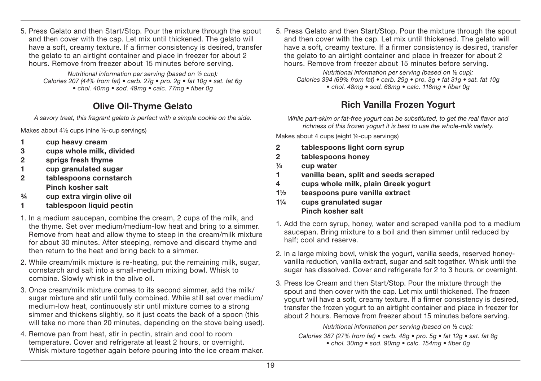5. Press Gelato and then Start/Stop. Pour the mixture through the spout and then cover with the cap. Let mix until thickened. The gelato will have a soft, creamy texture. If a firmer consistency is desired, transfer the gelato to an airtight container and place in freezer for about 2 hours. Remove from freezer about 15 minutes before serving.

Nutritional information per serving (based on ½ cup): Calories 207 (44% from fat) • carb. 27g • pro. 2g • fat 10g • sat. fat 6g  $\bullet$  chol. 40mg  $\bullet$  sod. 49mg  $\bullet$  calc. 77mg  $\bullet$  fiber 0g

## **Olive Oil-Thyme Gelato**

A savory treat, this fragrant gelato is perfect with a simple cookie on the side.

Makes about 4½ cups (nine ½-cup servings)

- **1 cup heavy cream**
- **3 cups whole milk, divided**
- **2 sprigs fresh thyme**
- **1 cup granulated sugar**
- **2 tablespoons cornstarch Pinch kosher salt**
- **¾ cup extra virgin olive oil**
- **1 tablespoon liquid pectin**
- 1. In a medium saucepan, combine the cream, 2 cups of the milk, and the thyme. Set over medium/medium-low heat and bring to a simmer. Remove from heat and allow thyme to steep in the cream/milk mixture for about 30 minutes. After steeping, remove and discard thyme and then return to the heat and bring back to a simmer.
- 2. While cream/milk mixture is re-heating, put the remaining milk, sugar, cornstarch and salt into a small-medium mixing bowl. Whisk to combine. Slowly whisk in the olive oil.
- 3. Once cream/milk mixture comes to its second simmer, add the milk/ sugar mixture and stir until fully combined. While still set over medium/ medium-low heat, continuously stir until mixture comes to a strong simmer and thickens slightly, so it just coats the back of a spoon (this will take no more than 20 minutes, depending on the stove being used).
- 4. Remove pan from heat, stir in pectin, strain and cool to room temperature. Cover and refrigerate at least 2 hours, or overnight. Whisk mixture together again before pouring into the ice cream maker.

5. Press Gelato and then Start/Stop. Pour the mixture through the spout and then cover with the cap. Let mix until thickened. The gelato will have a soft, creamy texture. If a firmer consistency is desired, transfer the gelato to an airtight container and place in freezer for about 2 hours. Remove from freezer about 15 minutes before serving.

Nutritional information per serving (based on ½ cup): Calories 394 (69% from fat)  $\bullet$  carb. 29g  $\bullet$  pro. 3g  $\bullet$  fat 31g  $\bullet$  sat. fat 10g • chol. 48mg • sod. 68mg • calc. 118mg • fiber 0g

## **Rich Vanilla Frozen Yogurt**

While part-skim or fat-free yogurt can be substituted, to get the real flavor and richness of this frozen yogurt it is best to use the whole-milk variety.

Makes about 4 cups (eight ½-cup servings)

- **2 tablespoons light corn syrup**
- **2 tablespoons honey**
- **¼ cup water**
- **1 vanilla bean, split and seeds scraped**
- **4 cups whole milk, plain Greek yogurt**
- **1½ teaspoons pure vanilla extract**
- **1¼ cups granulated sugar Pinch kosher salt**
- 1. Add the corn syrup, honey, water and scraped vanilla pod to a medium saucepan. Bring mixture to a boil and then simmer until reduced by half; cool and reserve.
- 2. In a large mixing bowl, whisk the yogurt, vanilla seeds, reserved honeyvanilla reduction, vanilla extract, sugar and salt together. Whisk until the sugar has dissolved. Cover and refrigerate for 2 to 3 hours, or overnight.
- 3. Press Ice Cream and then Start/Stop. Pour the mixture through the spout and then cover with the cap. Let mix until thickened. The frozen yogurt will have a soft, creamy texture. If a firmer consistency is desired, transfer the frozen yogurt to an airtight container and place in freezer for about 2 hours. Remove from freezer about 15 minutes before serving.

Nutritional information per serving (based on ½ cup): Calories 387 (27% from fat) • carb. 48g • pro. 5g • fat 12g • sat. fat 8g • chol. 30mg • sod. 90mg • calc. 154mg • fiber 0g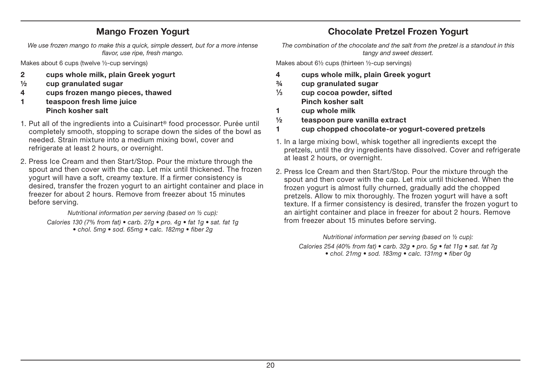## **Mango Frozen Yogurt**

We use frozen mango to make this a quick, simple dessert, but for a more intense flavor, use ripe, fresh mango.

Makes about 6 cups (twelve ½-cup servings)

- **2 cups whole milk, plain Greek yogurt**
- **½ cup granulated sugar**
- **4 cups frozen mango pieces, thawed**
- **1 teaspoon fresh lime juice Pinch kosher salt**
- 1. Put all of the ingredients into a Cuisinart® food processor. Purée until completely smooth, stopping to scrape down the sides of the bowl as needed. Strain mixture into a medium mixing bowl, cover and refrigerate at least 2 hours, or overnight.
- 2. Press Ice Cream and then Start/Stop. Pour the mixture through the spout and then cover with the cap. Let mix until thickened. The frozen yogurt will have a soft, creamy texture. If a firmer consistency is desired, transfer the frozen yogurt to an airtight container and place in freezer for about 2 hours. Remove from freezer about 15 minutes before serving.

Nutritional information per serving (based on ½ cup): Calories 130 (7% from fat)  $\bullet$  carb. 27g  $\bullet$  pro. 4g  $\bullet$  fat 1g  $\bullet$  sat. fat 1g • chol. 5mg • sod. 65mg • calc. 182mg • fiber 2g

## **Chocolate Pretzel Frozen Yogurt**

The combination of the chocolate and the salt from the pretzel is a standout in this tangy and sweet dessert.

Makes about 6½ cups (thirteen ½-cup servings)

- **4 cups whole milk, plain Greek yogurt**
- **¾ cup granulated sugar**
- **1⁄3 cup cocoa powder, sifted Pinch kosher salt**
- **1 cup whole milk**
- **½ teaspoon pure vanilla extract**
- **1 cup chopped chocolate-or yogurt-covered pretzels**
- 1. In a large mixing bowl, whisk together all ingredients except the pretzels, until the dry ingredients have dissolved. Cover and refrigerate at least 2 hours, or overnight.
- 2. Press Ice Cream and then Start/Stop. Pour the mixture through the spout and then cover with the cap. Let mix until thickened. When the frozen yogurt is almost fully churned, gradually add the chopped pretzels. Allow to mix thoroughly. The frozen yogurt will have a soft texture. If a firmer consistency is desired, transfer the frozen yogurt to an airtight container and place in freezer for about 2 hours. Remove from freezer about 15 minutes before serving.

Nutritional information per serving (based on ½ cup):

Calories 254 (40% from fat)  $\bullet$  carb. 32g  $\bullet$  pro. 5g  $\bullet$  fat 11g  $\bullet$  sat. fat 7g • chol. 21mg • sod. 183mg • calc. 131mg • fiber 0g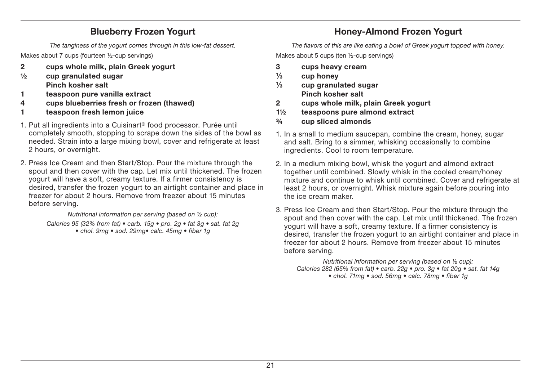## **Blueberry Frozen Yogurt**

The tanginess of the yogurt comes through in this low-fat dessert.

Makes about 7 cups (fourteen ½-cup servings)

- **2 cups whole milk, plain Greek yogurt**
- **½ cup granulated sugar Pinch kosher salt**
- **1 teaspoon pure vanilla extract**
- **4 cups blueberries fresh or frozen (thawed)**
- **1 teaspoon fresh lemon juice**
- 1. Put all ingredients into a Cuisinart® food processor. Purée until completely smooth, stopping to scrape down the sides of the bowl as needed. Strain into a large mixing bowl, cover and refrigerate at least 2 hours, or overnight.
- 2. Press Ice Cream and then Start/Stop. Pour the mixture through the spout and then cover with the cap. Let mix until thickened. The frozen yogurt will have a soft, creamy texture. If a firmer consistency is desired, transfer the frozen yogurt to an airtight container and place in freezer for about 2 hours. Remove from freezer about 15 minutes before serving.

Nutritional information per serving (based on ½ cup): Calories 95 (32% from fat)  $\bullet$  carb. 15g  $\bullet$  pro. 2g  $\bullet$  fat 3g  $\bullet$  sat. fat 2g  $\bullet$  chol. 9mg  $\bullet$  sod. 29mg $\bullet$  calc. 45mg  $\bullet$  fiber 1g

## **Honey-Almond Frozen Yogurt**

The flavors of this are like eating a bowl of Greek yogurt topped with honey. Makes about 5 cups (ten 1/2-cup servings)

- **3 cups heavy cream**
- **1⁄3 cup honey**
- **1⁄3 cup granulated sugar Pinch kosher salt**
- **2 cups whole milk, plain Greek yogurt**
- **1½ teaspoons pure almond extract**
- **¾ cup sliced almonds**
- 1. In a small to medium saucepan, combine the cream, honey, sugar and salt. Bring to a simmer, whisking occasionally to combine ingredients. Cool to room temperature.
- 2. In a medium mixing bowl, whisk the yogurt and almond extract together until combined. Slowly whisk in the cooled cream/honey mixture and continue to whisk until combined. Cover and refrigerate at least 2 hours, or overnight. Whisk mixture again before pouring into the ice cream maker.
- 3. Press Ice Cream and then Start/Stop. Pour the mixture through the spout and then cover with the cap. Let mix until thickened. The frozen yogurt will have a soft, creamy texture. If a firmer consistency is desired, transfer the frozen yogurt to an airtight container and place in freezer for about 2 hours. Remove from freezer about 15 minutes before serving.

Nutritional information per serving (based on ½ cup): Calories 282 (65% from fat)  $\bullet$  carb. 22g  $\bullet$  pro. 3g  $\bullet$  fat 20g  $\bullet$  sat. fat 14g • chol. 71mg • sod. 56mg • calc. 78mg • fiber 1g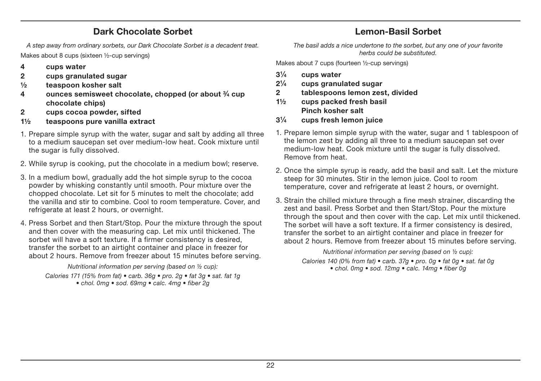## **Dark Chocolate Sorbet**

A step away from ordinary sorbets, our Dark Chocolate Sorbet is a decadent treat. Makes about 8 cups (sixteen ½-cup servings)

- **4 cups water**
- **2 cups granulated sugar**
- **½ teaspoon kosher salt**
- **4 ounces semisweet chocolate, chopped (or about 3⁄4 cup chocolate chips)**
- **2 cups cocoa powder, sifted**
- **1½ teaspoons pure vanilla extract**
- 1. Prepare simple syrup with the water, sugar and salt by adding all three to a medium saucepan set over medium-low heat. Cook mixture until the sugar is fully dissolved.
- 2. While syrup is cooking, put the chocolate in a medium bowl; reserve.
- 3. In a medium bowl, gradually add the hot simple syrup to the cocoa powder by whisking constantly until smooth. Pour mixture over the chopped chocolate. Let sit for 5 minutes to melt the chocolate; add the vanilla and stir to combine. Cool to room temperature. Cover, and refrigerate at least 2 hours, or overnight.
- 4. Press Sorbet and then Start/Stop. Pour the mixture through the spout and then cover with the measuring cap. Let mix until thickened. The sorbet will have a soft texture. If a firmer consistency is desired, transfer the sorbet to an airtight container and place in freezer for about 2 hours. Remove from freezer about 15 minutes before serving.

Nutritional information per serving (based on ½ cup): Calories 171 (15% from fat)  $\bullet$  carb. 36g  $\bullet$  pro. 2g  $\bullet$  fat 3g  $\bullet$  sat. fat 1g • chol. 0mg • sod. 69mg • calc. 4mg • fiber 2g

## **Lemon-Basil Sorbet**

The basil adds a nice undertone to the sorbet, but any one of your favorite herbs could be substituted.

Makes about 7 cups (fourteen ½-cup servings)

- **31⁄4 cups water**
- **21⁄4 cups granulated sugar**
- **2 tablespoons lemon zest, divided**
- **1½ cups packed fresh basil Pinch kosher salt**
- **31⁄4 cups fresh lemon juice**
- 1. Prepare lemon simple syrup with the water, sugar and 1 tablespoon of the lemon zest by adding all three to a medium saucepan set over medium-low heat. Cook mixture until the sugar is fully dissolved. Remove from heat.
- 2. Once the simple syrup is ready, add the basil and salt. Let the mixture steep for 30 minutes. Stir in the lemon juice. Cool to room temperature, cover and refrigerate at least 2 hours, or overnight.
- 3. Strain the chilled mixture through a fine mesh strainer, discarding the zest and basil. Press Sorbet and then Start/Stop. Pour the mixture through the spout and then cover with the cap. Let mix until thickened. The sorbet will have a soft texture. If a firmer consistency is desired, transfer the sorbet to an airtight container and place in freezer for about 2 hours. Remove from freezer about 15 minutes before serving.

Nutritional information per serving (based on ½ cup): Calories 140 (0% from fat)  $\bullet$  carb. 37g  $\bullet$  pro. 0g  $\bullet$  fat 0g  $\bullet$  sat. fat 0g • chol. Omg • sod. 12mg • calc. 14mg • fiber 0g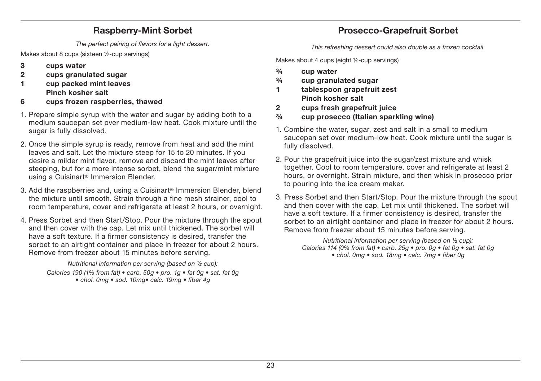## **Raspberry-Mint Sorbet**

The perfect pairing of flavors for a light dessert.

Makes about 8 cups (sixteen ½-cup servings)

- **3 cups water**
- **2 cups granulated sugar**
- **1 cup packed mint leaves Pinch kosher salt**
- **6 cups frozen raspberries, thawed**
- 1. Prepare simple syrup with the water and sugar by adding both to a medium saucepan set over medium-low heat. Cook mixture until the sugar is fully dissolved.
- 2. Once the simple syrup is ready, remove from heat and add the mint leaves and salt. Let the mixture steep for 15 to 20 minutes. If you desire a milder mint flavor, remove and discard the mint leaves after steeping, but for a more intense sorbet, blend the sugar/mint mixture using a Cuisinart® Immersion Blender.
- 3. Add the raspberries and, using a Cuisinart® Immersion Blender, blend the mixture until smooth. Strain through a fine mesh strainer, cool to room temperature, cover and refrigerate at least 2 hours, or overnight.
- 4. Press Sorbet and then Start/Stop. Pour the mixture through the spout and then cover with the cap. Let mix until thickened. The sorbet will have a soft texture. If a firmer consistency is desired, transfer the sorbet to an airtight container and place in freezer for about 2 hours. Remove from freezer about 15 minutes before serving.

Nutritional information per serving (based on ½ cup): Calories 190 (1% from fat)  $\bullet$  carb. 50g  $\bullet$  pro. 1g  $\bullet$  fat 0g  $\bullet$  sat. fat 0g  $\bullet$  chol. 0mg  $\bullet$  sod. 10mg  $\bullet$  calc. 19mg  $\bullet$  fiber 4g

## **Prosecco-Grapefruit Sorbet**

This refreshing dessert could also double as a frozen cocktail.

Makes about 4 cups (eight ½-cup servings)

- **¾ cup water**
- **¾ cup granulated sugar**
- **1 tablespoon grapefruit zest Pinch kosher salt**
- **2 cups fresh grapefruit juice**
- **¾ cup prosecco (Italian sparkling wine)**
- 1. Combine the water, sugar, zest and salt in a small to medium saucepan set over medium-low heat. Cook mixture until the sugar is fully dissolved.
- 2. Pour the grapefruit juice into the sugar/zest mixture and whisk together. Cool to room temperature, cover and refrigerate at least 2 hours, or overnight. Strain mixture, and then whisk in prosecco prior to pouring into the ice cream maker.
- 3. Press Sorbet and then Start/Stop. Pour the mixture through the spout and then cover with the cap. Let mix until thickened. The sorbet will have a soft texture. If a firmer consistency is desired, transfer the sorbet to an airtight container and place in freezer for about 2 hours. Remove from freezer about 15 minutes before serving.

Nutritional information per serving (based on ½ cup): Calories 114 (0% from fat)  $\bullet$  carb. 25g  $\bullet$  pro. 0g  $\bullet$  fat 0g  $\bullet$  sat. fat 0g • chol. 0mg • sod. 18mg • calc. 7mg • fiber 0g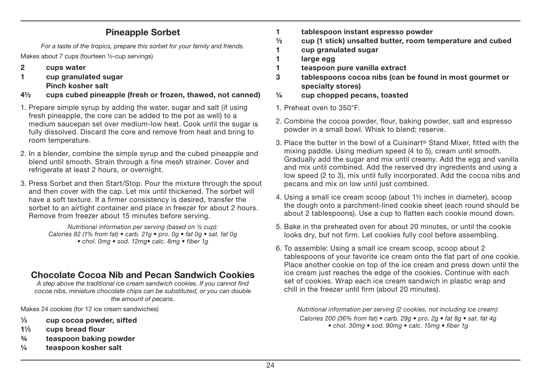### **Pineapple Sorbet**

For a taste of the tropics, prepare this sorbet for your family and friends.

Makes about 7 cups (fourteen ½-cup servings)

- **2 cups water**
- **1 cup granulated sugar Pinch kosher salt**
- **4½ cups cubed pineapple (fresh or frozen, thawed, not canned)**
- 1. Prepare simple syrup by adding the water, sugar and salt (if using fresh pineapple, the core can be added to the pot as well) to a medium saucepan set over medium-low heat. Cook until the sugar is fully dissolved. Discard the core and remove from heat and bring to room temperature.
- 2. In a blender, combine the simple syrup and the cubed pineapple and blend until smooth. Strain through a fine mesh strainer. Cover and refrigerate at least 2 hours, or overnight.
- 3. Press Sorbet and then Start/Stop. Pour the mixture through the spout and then cover with the cap. Let mix until thickened. The sorbet will have a soft texture. If a firmer consistency is desired, transfer the sorbet to an airtight container and place in freezer for about 2 hours. Remove from freezer about 15 minutes before serving.

Nutritional information per serving (based on ½ cup): Calories 82 (1% from fat)  $\bullet$  carb. 21g  $\bullet$  pro. 0g  $\bullet$  fat 0g  $\bullet$  sat. fat 0g • chol. 0mg • sod. 12mg • calc. 8mg • fiber 1g

## **Chocolate Cocoa Nib and Pecan Sandwich Cookies**

A step above the traditional ice cream sandwich cookies. If you cannot find cocoa nibs, miniature chocolate chips can be substituted, or you can double the amount of pecans.

Makes 24 cookies (for 12 ice cream sandwiches)

- **1⁄3 cup cocoa powder, sifted**
- **11⁄3 cups bread flour**
- **¾ teaspoon baking powder**
- **¼ teaspoon kosher salt**
- **1 tablespoon instant espresso powder**
- **½ cup (1 stick) unsalted butter, room temperature and cubed**
- **1 cup granulated sugar**
- **1 large egg**
- **1 teaspoon pure vanilla extract**
- **3 tablespoons cocoa nibs (can be found in most gourmet or specialty stores)**
- **¼ cup chopped pecans, toasted**
- 1. Preheat oven to 350°F.
- 2. Combine the cocoa powder, flour, baking powder, salt and espresso powder in a small bowl. Whisk to blend; reserve.
- 3. Place the butter in the bowl of a Cuisinart® Stand Mixer, fitted with the mixing paddle. Using medium speed (4 to 5), cream until smooth. Gradually add the sugar and mix until creamy. Add the egg and vanilla and mix until combined. Add the reserved dry ingredients and using a low speed (2 to 3), mix until fully incorporated. Add the cocoa nibs and pecans and mix on low until just combined.
- 4. Using a small ice cream scoop (about 1½ inches in diameter), scoop the dough onto a parchment-lined cookie sheet (each round should be about 2 tablespoons). Use a cup to flatten each cookie mound down.
- 5. Bake in the preheated oven for about 20 minutes, or until the cookie looks dry, but not firm. Let cookies fully cool before assembling.
- 6. To assemble: Using a small ice cream scoop, scoop about 2 tablespoons of your favorite ice cream onto the flat part of one cookie. Place another cookie on top of the ice cream and press down until the ice cream just reaches the edge of the cookies. Continue with each set of cookies. Wrap each ice cream sandwich in plastic wrap and chill in the freezer until firm (about 20 minutes).

Nutritional information per serving (2 cookies, not including ice cream): Calories 200 (36% from fat)  $\bullet$  carb. 29g  $\bullet$  pro. 2g  $\bullet$  fat 8g  $\bullet$  sat. fat 4g • chol. 30mg • sod. 90mg • calc. 15mg • fiber 1g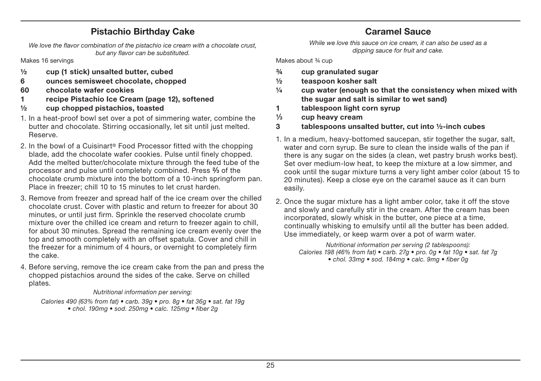### **Pistachio Birthday Cake**

We love the flavor combination of the pistachio ice cream with a chocolate crust, but any flavor can be substituted.

Makes 16 servings

- **½ cup (1 stick) unsalted butter, cubed**
- **6 ounces semisweet chocolate, chopped**
- **60 chocolate wafer cookies**
- **1 recipe Pistachio Ice Cream (page 12), softened**
- **½ cup chopped pistachios, toasted**
- 1. In a heat-proof bowl set over a pot of simmering water, combine the butter and chocolate. Stirring occasionally, let sit until just melted. Reserve.
- 2. In the bowl of a Cuisinart® Food Processor fitted with the chopping blade, add the chocolate wafer cookies. Pulse until finely chopped. Add the melted butter/chocolate mixture through the feed tube of the processor and pulse until completely combined. Press **2⁄3** of the chocolate crumb mixture into the bottom of a 10-inch springform pan. Place in freezer; chill 10 to 15 minutes to let crust harden.
- 3. Remove from freezer and spread half of the ice cream over the chilled chocolate crust. Cover with plastic and return to freezer for about 30 minutes, or until just firm. Sprinkle the reserved chocolate crumb mixture over the chilled ice cream and return to freezer again to chill, for about 30 minutes. Spread the remaining ice cream evenly over the top and smooth completely with an offset spatula. Cover and chill in the freezer for a minimum of 4 hours, or overnight to completely firm the cake.
- 4. Before serving, remove the ice cream cake from the pan and press the chopped pistachios around the sides of the cake. Serve on chilled plates.

#### Nutritional information per serving:

Calories 490 (63% from fat) • carb. 39g • pro. 8g • fat 36g • sat. fat 19g  $\bullet$  chol. 190mg  $\bullet$  sod. 250mg  $\bullet$  calc. 125mg  $\bullet$  fiber 2q

## **Caramel Sauce**

While we love this sauce on ice cream, it can also be used as a dipping sauce for fruit and cake.

Makes about <sup>3/4</sup> cup

- **¾ cup granulated sugar**
- **½ teaspoon kosher salt**
- **¼ cup water (enough so that the consistency when mixed with the sugar and salt is similar to wet sand)**
- **1 tablespoon light corn syrup**
- **1⁄3 cup heavy cream**
- **3 tablespoons unsalted butter, cut into ½-inch cubes**
- 1. In a medium, heavy-bottomed saucepan, stir together the sugar, salt, water and corn syrup. Be sure to clean the inside walls of the pan if there is any sugar on the sides (a clean, wet pastry brush works best). Set over medium-low heat, to keep the mixture at a low simmer, and cook until the sugar mixture turns a very light amber color (about 15 to 20 minutes). Keep a close eye on the caramel sauce as it can burn easily.
- 2. Once the sugar mixture has a light amber color, take it off the stove and slowly and carefully stir in the cream. After the cream has been incorporated, slowly whisk in the butter, one piece at a time, continually whisking to emulsify until all the butter has been added. Use immediately, or keep warm over a pot of warm water.

Nutritional information per serving (2 tablespoons): Calories 198 (46% from fat) • carb. 27g • pro. 0g • fat 10g • sat. fat 7g  $\bullet$  chol. 33ma  $\bullet$  sod. 184ma  $\bullet$  calc. 9ma  $\bullet$  fiber 0a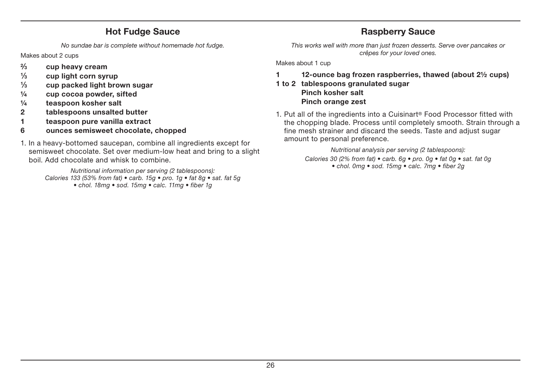## **Hot Fudge Sauce**

No sundae bar is complete without homemade hot fudge.

Makes about 2 cups

- **2⁄3 cup heavy cream**
- **1⁄3 cup light corn syrup**
- **1⁄3 cup packed light brown sugar**
- **¼ cup cocoa powder, sifted**
- **¼ teaspoon kosher salt**
- **2 tablespoons unsalted butter**
- **1 teaspoon pure vanilla extract**
- **6 ounces semisweet chocolate, chopped**
- 1. In a heavy-bottomed saucepan, combine all ingredients except for semisweet chocolate. Set over medium-low heat and bring to a slight boil. Add chocolate and whisk to combine.

Nutritional information per serving (2 tablespoons): Calories 133 (53% from fat)  $\bullet$  carb. 15g  $\bullet$  pro. 1g  $\bullet$  fat 8g  $\bullet$  sat. fat 5g • chol. 18mg • sod. 15mg • calc. 11mg • fiber 1g

## **Raspberry Sauce**

This works well with more than just frozen desserts. Serve over pancakes or crêpes for your loved ones.

Makes about 1 cup

## **1 12-ounce bag frozen raspberries, thawed (about 2½ cups)**

- **1 to 2 tablespoons granulated sugar Pinch kosher salt Pinch orange zest**
- 1. Put all of the ingredients into a Cuisinart® Food Processor fitted with the chopping blade. Process until completely smooth. Strain through a fine mesh strainer and discard the seeds. Taste and adjust sugar amount to personal preference.

Nutritional analysis per serving (2 tablespoons): Calories 30 (2% from fat)  $\bullet$  carb. 6g  $\bullet$  pro. 0g  $\bullet$  fat 0g  $\bullet$  sat. fat 0g  $\bullet$  chol. 0mg  $\bullet$  sod. 15mg  $\bullet$  calc. 7mg  $\bullet$  fiber 2g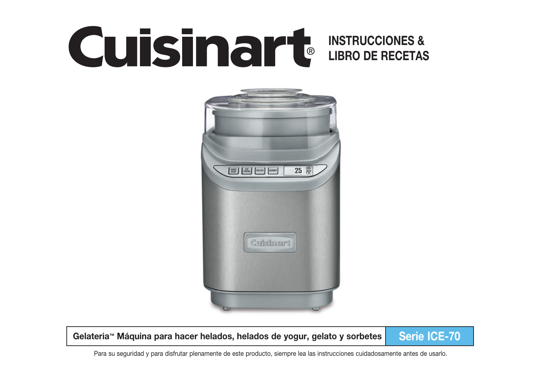# **INSTRUCCIONES & LIBRO DE RECETAS**



Gelateria™ Máquina para hacer helados, helados de yogur, gelato y sorbetes **Serie ICE-70** 

Para su seguridad y para disfrutar plenamente de este producto, siempre lea las instrucciones cuidadosamente antes de usarlo.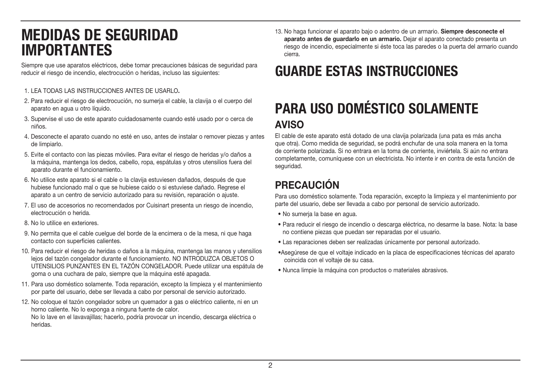## **MEDIDAS DE SEGURIDAD IMPORTANTES**

Siempre que use aparatos eléctricos, debe tomar precauciones básicas de seguridad para reducir el riesgo de incendio, electrocución o heridas, incluso las siguientes:

#### 1.LEA TODAS LAS INSTRUCCIONES ANTES DE USARLO**.**

- 2. Para reducir el riesgo de electrocución, no sumerja el cable, la clavija o el cuerpo del aparato en agua u otro líquido.
- 3. Supervise el uso de este aparato cuidadosamente cuando esté usado por o cerca de niños.
- 4. Desconecte el aparato cuando no esté en uso, antes de instalar o remover piezas y antes de limpiarlo.
- 5. Evite el contacto con las piezas móviles. Para evitar el riesgo de heridas y/o daños a la máquina, mantenga los dedos, cabello, ropa, espátulas y otros utensilios fuera del aparato durante el funcionamiento.
- 6. No utilice este aparato si el cable o la clavija estuviesen dañados, después de que hubiese funcionado mal o que se hubiese caído o si estuviese dañado. Regrese el aparato a un centro de servicio autorizado para su revisión, reparación o ajuste.
- 7. El uso de accesorios no recomendados por Cuisinart presenta un riesgo de incendio, electrocución o herida.
- 8. No lo utilice en exteriores.
- 9. No permita que el cable cuelgue del borde de la encimera o de la mesa, ni que haga contacto con superficies calientes.
- 10. Para reducir el riesgo de heridas o daños a la máquina, mantenga las manos y utensilios lejos del tazón congelador durante el funcionamiento. NO INTRODUZCA OBJETOS O UTENSILIOS PUNZANTES EN EL TAZÓN CONGELADOR. Puede utilizar una espátula de goma o una cuchara de palo, siempre que la máquina esté apagada.
- 11. Para uso doméstico solamente. Toda reparación, excepto la limpieza y el mantenimiento por parte del usuario, debe ser llevada a cabo por personal de servicio autorizado.
- 12. No coloque el tazón congelador sobre un quemador a gas o eléctrico caliente, ni en un horno caliente. No lo exponga a ninguna fuente de calor. No lo lave en el lavavajillas; hacerlo, podría provocar un incendio, descarga eléctrica o heridas.

13. No haga funcionar el aparato bajo o adentro de un armario. **Siempre desconecte el aparato antes de guardarlo en un armario.** Dejar el aparato conectado presenta un riesgo de incendio, especialmente si éste toca las paredes o la puerta del armario cuando cierra.

## **GUARDE ESTAS INSTRUCCIONES**

## **PARA USO DOMÉSTICO SOLAMENTE AVISO**

El cable de este aparato está dotado de una clavija polarizada (una pata es más ancha que otra). Como medida de seguridad, se podrá enchufar de una sola manera en la toma de corriente polarizada. Si no entrara en la toma de corriente, inviértela. Si aún no entrara completamente, comuníquese con un electricista. No intente ir en contra de esta función de seguridad.

## **PRECAUCIÓN**

Para uso doméstico solamente. Toda reparación, excepto la limpieza y el mantenimiento por parte del usuario, debe ser llevada a cabo por personal de servicio autorizado.

- No sumeria la base en agua.
- Para reducir el riesgo de incendio o descarga eléctrica, no desarme la base. Nota: la base no contiene piezas que puedan ser reparadas por el usuario.
- Las reparaciones deben ser realizadas únicamente por personal autorizado.
- Asegúrese de que el voltaje indicado en la placa de especificaciones técnicas del aparato coincida con el voltaje de su casa.
- Nunca limpie la máquina con productos o materiales abrasivos.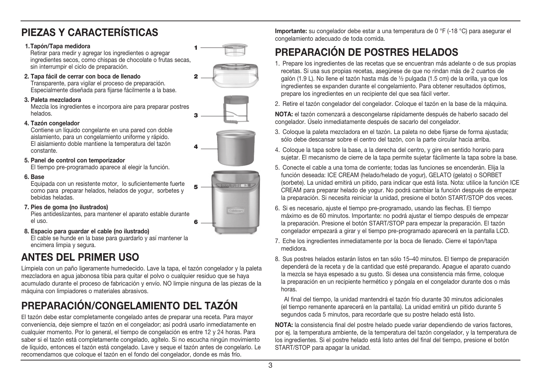## **PIEZAS Y CARACTERÍSTICAS**

#### **1. Tapón/Tapa medidora**

Retirar para medir y agregar los ingredientes o agregar ingredientes secos, como chispas de chocolate o frutas secas, sin interrumpir el ciclo de preparación. **1**

#### **2. Tapa fácil de cerrar con boca de llenado**

Transparente, para vigilar el proceso de preparación. Especialmente diseñada para fijarse fácilmente a la base.

#### **3. Paleta mezcladora**

Mezcla los ingredientes e incorpora aire para preparar postres helados.

#### **4. Tazón congelador**

Contiene un líquido congelante en una pared con doble aislamiento, para un congelamiento uniforme y rápido. El aislamiento doble mantiene la temperatura del tazón constante.

#### **5. Panel de control con temporizador**

El tiempo pre-programado aparece al elegir la función.

#### **6. Base**

Equipada con un resistente motor, lo suficientemente fuerte como para preparar helados, helados de yogur, sorbetes y bebidas heladas.

 **7. Pies de goma (no ilustrados)** 

Pies antideslizantes, para mantener el aparato estable durante el uso.

 **8. Espacio para guardar el cable (no ilustrado)**

El cable se hunde en la base para guardarlo y así mantener la encimera limpia y segura.

## **ANTES DEL PRIMER USO**

Límpiela con un paño ligeramente humedecido. Lave la tapa, el tazón congelador y la paleta mezcladora en agua jabonosa tibia para quitar el polvo o cualquier residuo que se haya acumulado durante el proceso de fabricación y envío. NO limpie ninguna de las piezas de la máquina con limpiadores o materiales abrasivos.

## **PREPARACIÓN/CONGELAMIENTO DEL TAZÓN**

El tazón debe estar completamente congelado antes de preparar una receta. Para mayor conveniencia, deje siempre el tazón en el congelador; así podrá usarlo inmediatamente en cualquier momento. Por lo general, el tiempo de congelación es entre 12 y 24 horas. Para saber si el tazón está completamente congelado, agítelo. Si no escucha ningún movimiento de líquido, entonces el tazón está congelado. Lave y seque el tazón antes de congelarlo. Le recomendamos que coloque el tazón en el fondo del congelador, donde es más frío.

**Importante:** su congelador debe estar a una temperatura de 0 °F (-18 °C) para asegurar el congelamiento adecuado de toda comida.

## **PREPARACIÓN DE POSTRES HELADOS**

- 1. Prepare los ingredientes de las recetas que se encuentran más adelante o de sus propias recetas. Si usa sus propias recetas, asegúrese de que no rindan más de 2 cuartos de galón (1.9 L). No llene el tazón hasta más de ½ pulgada (1.5 cm) de la orilla, ya que los ingredientes se expanden durante el congelamiento. Para obtener resultados óptimos, prepare los ingredientes en un recipiente del que sea fácil verter.
- 2. Retire el tazón congelador del congelador. Coloque el tazón en la base de la máquina.

**NOTA:** el tazón comenzará a descongelarse rápidamente después de haberlo sacado del congelador. Úselo inmediatamente después de sacarlo del congelador.

- 3. Coloque la paleta mezcladora en el tazón. La paleta no debe fijarse de forma ajustada; sólo debe descansar sobre el centro del tazón, con la parte circular hacia arriba.
- 4. Coloque la tapa sobre la base, a la derecha del centro, y gire en sentido horario para sujetar. El mecanismo de cierre de la tapa permite sujetar fácilmente la tapa sobre la base.
- 5. Conecte el cable a una toma de corriente; todas las funciones se encenderán. Elija la función deseada: ICE CREAM (helado/helado de yogur), GELATO (gelato) o SORBET (sorbete). La unidad emitirá un pitido, para indicar que está lista. Nota: utilice la función ICE CREAM para preparar helado de yogur. No podrá cambiar la función después de empezar la preparación. Si necesita reiniciar la unidad, presione el botón START/STOP dos veces.
- 6. Si es necesario, ajuste el tiempo pre-programado, usando las flechas. El tiempo máximo es de 60 minutos. Importante: no podrá ajustar el tiempo después de empezar la preparación. Presione el botón START/STOP para empezar la preparación. El tazón congelador empezará a girar y el tiempo pre-programado aparecerá en la pantalla LCD.
- 7. Eche los ingredientes inmediatamente por la boca de llenado. Cierre el tapón/tapa medidora.
- 8. Sus postres helados estarán listos en tan sólo 15–40 minutos. El tiempo de preparación dependerá de la receta y de la cantidad que esté preparando. Apague el aparato cuando la mezcla se haya espesado a su gusto. Si desea una consistencia más firme, coloque la preparación en un recipiente hermético y póngala en el congelador durante dos o más horas.

 Al final del tiempo, la unidad mantendrá el tazón frío durante 30 minutos adicionales (el tiempo remanente aparecerá en la pantalla). La unidad emitirá un pitido durante 5 segundos cada 5 minutos, para recordarle que su postre helado está listo.

**NOTA:** la consistencia final del postre helado puede variar dependiendo de varios factores, por ej. la temperatura ambiente, de la temperatura del tazón congelador, y la temperatura de los ingredientes. Si el postre helado está listo antes del final del tiempo, presione el botón START/STOP para apagar la unidad.







**3**

**6**

**5**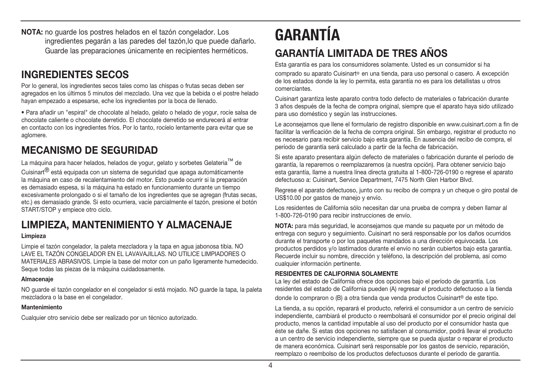**NOTA:** no guarde los postres helados en el tazón congelador. Los ingredientes pegarán a las paredes del tazón,lo que puede dañarlo. Guarde las preparaciones únicamente en recipientes herméticos.

## **INGREDIENTES SECOS**

Por lo general, los ingredientes secos tales como las chispas o frutas secas deben ser agregados en los últimos 5 minutos del mezclado. Una vez que la bebida o el postre helado hayan empezado a espesarse, eche los ingredientes por la boca de llenado.

• Para añadir un "espiral" de chocolate al helado, gelato o helado de yogur, rocíe salsa de chocolate caliente o chocolate derretido. El chocolate derretido se endurecerá al entrar en contacto con los ingredientes fríos. Por lo tanto, rocíelo lentamente para evitar que se aglomere.

## **MECANISMO DE SEGURIDAD**

La máquina para hacer helados, helados de yogur, gelato y sorbetes Gelateria<sup>™</sup> de Cuisinart® está equipada con un sistema de seguridad que apaga automáticamente la máquina en caso de recalentamiento del motor. Esto puede ocurrir si la preparación es demasiado espesa, si la máquina ha estado en funcionamiento durante un tiempo excesivamente prolongado o si el tamaño de los ingredientes que se agregan (frutas secas, etc.) es demasiado grande. Si esto ocurriera, vacíe parcialmente el tazón, presione el botón START/STOP y empiece otro ciclo.

## **LIMPIEZA, MANTENIMIENTO Y ALMACENAJE**

#### **Limpieza**

Limpie el tazón congelador, la paleta mezcladora y la tapa en agua jabonosa tibia. NO LAVE EL TAZÓN CONGELADOR EN EL LAVAVAJILLAS. NO UTILICE LIMPIADORES O MATERIALES ABRASIVOS. Limpie la base del motor con un paño ligeramente humedecido. Seque todas las piezas de la máquina cuidadosamente.

#### **Almacenaje**

NO guarde el tazón congelador en el congelador si está mojado. NO guarde la tapa, la paleta mezcladora o la base en el congelador.

#### **Mantenimiento**

Cualquier otro servicio debe ser realizado por un técnico autorizado.

## **GARANTÍA GARANTÍA LIMITADA DE TRES AÑOS**

Esta garantía es para los consumidores solamente. Usted es un consumidor si ha

comprado su aparato Cuisinart® en una tienda, para uso personal o casero. A excepción de los estados donde la ley lo permita, esta garantía no es para los detallistas u otros comerciantes.

Cuisinart garantiza leste aparato contra todo defecto de materiales o fabricación durante 3 años después de la fecha de compra original, siempre que el aparato haya sido utilizado para uso doméstico y según las instrucciones.

Le aconsejamos que llene el formulario de registro disponible en www.cuisinart.com a fin de facilitar la verificación de la fecha de compra original. Sin embargo, registrar el producto no es necesario para recibir servicio bajo esta garantía. En ausencia del recibo de compra, el período de garantía será calculado a partir de la fecha de fabricación.

Si este aparato presentara algún defecto de materiales o fabricación durante el período de garantía, la reparemos o reemplazaremos (a nuestra opción). Para obtener servicio bajo esta garantía, llame a nuestra línea directa gratuita al 1-800-726-0190 o regrese el aparato defectuoso a: Cuisinart, Service Department, 7475 North Glen Harbor Blvd.

Regrese el aparato defectuoso, junto con su recibo de compra y un cheque o giro postal de US\$10.00 por gastos de manejo y envío.

Los residentes de California sólo necesitan dar una prueba de compra y deben llamar al 1-800-726-0190 para recibir instrucciones de envío.

**NOTA:** para más seguridad, le aconsejamos que mande su paquete por un método de entrega con seguro y seguimiento. Cuisinart no será responsable por los daños ocurridos durante el transporte o por los paquetes mandados a una dirección equivocada. Los productos perdidos y/o lastimados durante el envío no serán cubiertos bajo esta garantía. Recuerde incluir su nombre, dirección y teléfono, la descripción del problema, así como cualquier información pertinente.

#### **RESIDENTES DE CALIFORNIA SOLAMENTE**

La ley del estado de California ofrece dos opciones bajo el período de garantía. Los residentes del estado de California pueden (A) regresar el producto defectuoso a la tienda

donde lo compraron o (B) a otra tienda que venda productos Cuisinart<sup>®</sup> de este tipo.

La tienda, a su opción, reparará el producto, referirá el consumidor a un centro de servicio independiente, cambiará el producto o reembolsará el consumidor por el precio original del producto, menos la cantidad imputable al uso del producto por el consumidor hasta que éste se dañe. Si estas dos opciones no satisfacen al consumidor, podrá llevar el producto a un centro de servicio independiente, siempre que se pueda ajustar o reparar el producto de manera económica. Cuisinart será responsable por los gastos de servicio, reparación, reemplazo o reembolso de los productos defectuosos durante el período de garantía.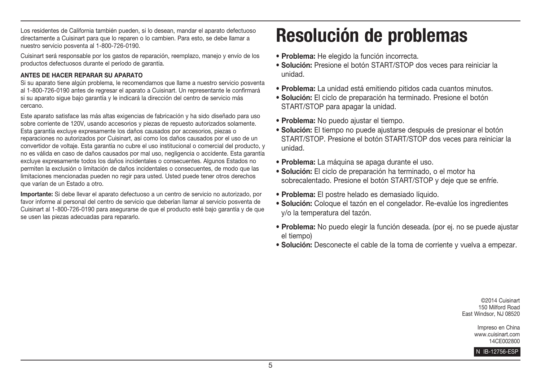Los residentes de California también pueden, si lo desean, mandar el aparato defectuoso directamente a Cuisinart para que lo reparen o lo cambien. Para esto, se debe llamar a nuestro servicio posventa al 1-800-726-0190.

Cuisinart será responsable por los gastos de reparación, reemplazo, manejo y envío de los productos defectuosos durante el período de garantía.

#### **ANTES DE HACER REPARAR SU APARATO**

Si su aparato tiene algún problema, le recomendamos que llame a nuestro servicio posventa al 1-800-726-0190 antes de regresar el aparato a Cuisinart. Un representante le confirmará si su aparato sigue bajo garantía y le indicará la dirección del centro de servicio más cercano.

Este aparato satisface las más altas exigencias de fabricación y ha sido diseñado para uso sobre corriente de 120V, usando accesorios y piezas de repuesto autorizados solamente. Esta garantía excluye expresamente los daños causados por accesorios, piezas o reparaciones no autorizados por Cuisinart, así como los daños causados por el uso de un convertidor de voltaje. Esta garantía no cubre el uso institucional o comercial del producto, y no es válida en caso de daños causados por mal uso, negligencia o accidente. Esta garantía excluye expresamente todos los daños incidentales o consecuentes. Algunos Estados no permiten la exclusión o limitación de daños incidentales o consecuentes, de modo que las limitaciones mencionadas pueden no regir para usted. Usted puede tener otros derechos que varían de un Estado a otro.

**Importante:** Si debe llevar el aparato defectuoso a un centro de servicio no autorizado, por favor informe al personal del centro de servicio que deberían llamar al servicio posventa de Cuisinart al 1-800-726-0190 para asegurarse de que el producto esté bajo garantía y de que se usen las piezas adecuadas para repararlo.

# **Resolución de problemas**

- r**Problema:** He elegido la función incorrecta.
- r**Solución:** Presione el botón START/STOP dos veces para reiniciar la unidad.
- r**Problema:** La unidad está emitiendo pitidos cada cuantos minutos.
- r**Solución:** El ciclo de preparación ha terminado. Presione el botón START/STOP para apagar la unidad.
- **Problema:** No puedo ajustar el tiempo.
- r**Solución:** El tiempo no puede ajustarse después de presionar el botón START/STOP. Presione el botón START/STOP dos veces para reiniciar la unidad.
- r**Problema:** La máquina se apaga durante el uso.
- r**Solución:** El ciclo de preparación ha terminado, o el motor ha sobrecalentado. Presione el botón START/STOP y deje que se enfríe.
- r**Problema:** El postre helado es demasiado líquido.
- r**Solución:** Coloque el tazón en el congelador. Re-evalúe los ingredientes y/o la temperatura del tazón.
- r**Problema:** No puedo elegir la función deseada. (por ej. no se puede ajustar el tiempo)
- r**Solución:** Desconecte el cable de la toma de corriente y vuelva a empezar.

©2014 Cuisinart 150 Milford Road East Windsor, NJ 08520

> Impreso en China www.cuisinart.com 14CE002800

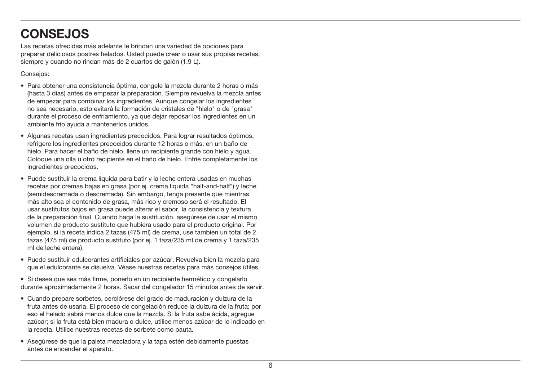## **CONSEJOS**

Las recetas ofrecidas más adelante le brindan una variedad de opciones para preparar deliciosos postres helados. Usted puede crear o usar sus propias recetas, siempre y cuando no rindan más de 2 cuartos de galón (1.9 L).

Consejos:

- Para obtener una consistencia óptima, congele la mezcla durante 2 horas o más (hasta 3 días) antes de empezar la preparación. Siempre revuelva la mezcla antes de empezar para combinar los ingredientes. Aunque congelar los ingredientes no sea necesario, esto evitará la formación de cristales de "hielo" o de "grasa" durante el proceso de enfriamiento, ya que dejar reposar los ingredientes en un ambiente frío ayuda a mantenerlos unidos.
- Algunas recetas usan ingredientes precocidos. Para lograr resultados óptimos, refrigere los ingredientes precocidos durante 12 horas o más, en un baño de hielo. Para hacer el baño de hielo, llene un recipiente grande con hielo y agua. Coloque una olla u otro recipiente en el baño de hielo. Enfríe completamente los ingredientes precocidos.
- Puede sustituir la crema líquida para batir y la leche entera usadas en muchas recetas por cremas bajas en grasa (por ej. crema líquida "half-and-half") y leche (semidescremada o descremada). Sin embargo, tenga presente que mientras más alto sea el contenido de grasa, más rico y cremoso será el resultado. El usar sustitutos bajos en grasa puede alterar el sabor, la consistencia y textura de la preparación final. Cuando haga la sustitución, asegúrese de usar el mismo volumen de producto sustituto que hubiera usado para el producto original. Por ejemplo, si la receta indica 2 tazas (475 ml) de crema, use también un total de 2 tazas (475 ml) de producto sustituto (por ej. 1 taza/235 ml de crema y 1 taza/235 ml de leche entera).
- Puede sustituir edulcorantes artificiales por azúcar. Revuelva bien la mezcla para que el edulcorante se disuelva. Véase nuestras recetas para más consejos útiles.

• Si desea que sea más firme, ponerlo en un recipiente hermético y congelarlo durante aproximadamente 2 horas. Sacar del congelador 15 minutos antes de servir.

- Cuando prepare sorbetes, cerciórese del grado de maduración y dulzura de la fruta antes de usarla. El proceso de congelación reduce la dulzura de la fruta; por eso el helado sabrá menos dulce que la mezcla. Si la fruta sabe ácida, agregue azúcar; si la fruta está bien madura o dulce, utilice menos azúcar de lo indicado en la receta. Utilice nuestras recetas de sorbete como pauta.
- Asequirese de que la paleta mezcladora y la tapa estén debidamente puestas antes de encender el aparato.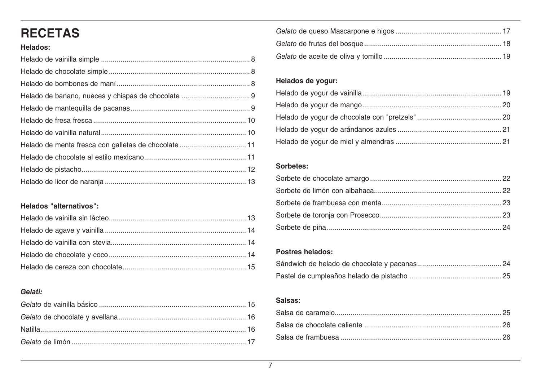## **RECETAS**

### Helados:

### Helados "alternativos":

### Gelati:

#### Helados de yogur:

#### Sorbetes:

#### Postres helados:

#### Salsas: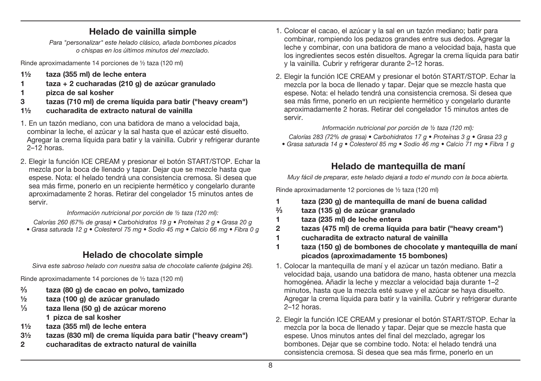## **Helado de vainilla simple**

Para "personalizar" este helado clásico, añada bombones picados o chispas en los últimos minutos del mezclado.

Rinde aproximadamente 14 porciones de ½ taza (120 ml)

- **1½ taza (355 ml) de leche entera**
- **1 taza + 2 cucharadas (210 g) de azúcar granulado**
- **1 pizca de sal kosher**
- **3 tazas (710 ml) de crema líquida para batir ("heavy cream")**
- **1½ cucharadita de extracto natural de vainilla**
- 1. En un tazón mediano, con una batidora de mano a velocidad baja, combinar la leche, el azúcar y la sal hasta que el azúcar esté disuelto. Agregar la crema líquida para batir y la vainilla. Cubrir y refrigerar durante 2–12 horas.
- 2. Elegir la función ICE CREAM y presionar el botón START/STOP. Echar la mezcla por la boca de llenado y tapar. Dejar que se mezcle hasta que espese. Nota: el helado tendrá una consistencia cremosa. Si desea que sea más firme, ponerlo en un recipiente hermético y congelarlo durante aproximadamente 2 horas. Retirar del congelador 15 minutos antes de servir.

#### Información nutricional por porción de ½ taza (120 ml):

Calorías 260 (67% de grasa) • Carbohidratos 19 g • Proteínas 2 g • Grasa 20 g • Grasa saturada 12 g • Colesterol 75 mg • Sodio 45 mg • Calcio 66 mg • Fibra 0 g

## **Helado de chocolate simple**

Sirva este sabroso helado con nuestra salsa de chocolate caliente (página 26).

Rinde aproximadamente 14 porciones de ½ taza (120 ml)

- **2⁄3 taza (80 g) de cacao en polvo, tamizado**
- **½ taza (100 g) de azúcar granulado**
- **1⁄3 taza llena (50 g) de azúcar moreno 1 pizca de sal kosher**
- **1½ taza (355 ml) de leche entera**
- **3½ tazas (830 ml) de crema líquida para batir ("heavy cream")**
- **2 cucharaditas de extracto natural de vainilla**
- 1. Colocar el cacao, el azúcar y la sal en un tazón mediano; batir para combinar, rompiendo los pedazos grandes entre sus dedos. Agregar la leche y combinar, con una batidora de mano a velocidad baja, hasta que los ingredientes secos estén disueltos. Agregar la crema líquida para batir y la vainilla. Cubrir y refrigerar durante 2–12 horas.
- 2. Elegir la función ICE CREAM y presionar el botón START/STOP. Echar la mezcla por la boca de llenado y tapar. Dejar que se mezcle hasta que espese. Nota: el helado tendrá una consistencia cremosa. Si desea que sea más firme, ponerlo en un recipiente hermético y congelarlo durante aproximadamente 2 horas. Retirar del congelador 15 minutos antes de servir.

#### Información nutricional por porción de ½ taza (120 ml):

Calorías 283 (72% de grasa) • Carbohidratos 17 g • Proteínas 3 g • Grasa 23 g

• Grasa saturada 14 g • Colesterol 85 mg • Sodio 46 mg • Calcio 71 mg • Fibra 1 g

## **Helado de mantequilla de maní**

Muy fácil de preparar, este helado dejará a todo el mundo con la boca abierta.

Rinde aproximadamente 12 porciones de ½ taza (120 ml)

- **1 taza (230 g) de mantequilla de maní de buena calidad**
- **2⁄3 taza (135 g) de azúcar granulado**
- **1 taza (235 ml) de leche entera**
- **2 tazas (475 ml) de crema líquida para batir ("heavy cream")**
- **1 cucharadita de extracto natural de vainilla**
- **1 taza (150 g) de bombones de chocolate y mantequilla de maní picados (aproximadamente 15 bombones)**
- 1. Colocar la mantequilla de maní y el azúcar un tazón mediano. Batir a velocidad baja, usando una batidora de mano, hasta obtener una mezcla homogénea. Añadir la leche y mezclar a velocidad baja durante 1–2 minutos, hasta que la mezcla esté suave y el azúcar se haya disuelto. Agregar la crema líquida para batir y la vainilla. Cubrir y refrigerar durante 2–12 horas.
- 2. Elegir la función ICE CREAM y presionar el botón START/STOP. Echar la mezcla por la boca de llenado y tapar. Dejar que se mezcle hasta que espese. Unos minutos antes del final del mezclado, agregar los bombones. Dejar que se combine todo. Nota: el helado tendrá una consistencia cremosa. Si desea que sea más firme, ponerlo en un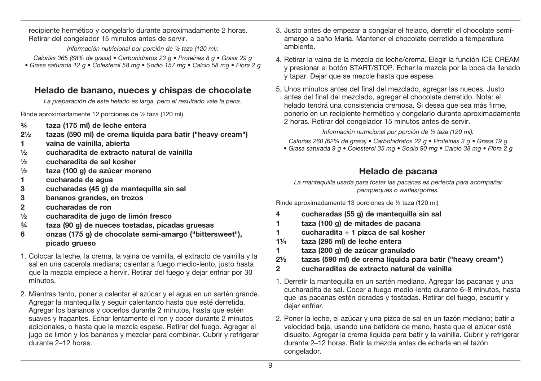recipiente hermético y congelarlo durante aproximadamente 2 horas. Retirar del congelador 15 minutos antes de servir.

Información nutricional por porción de ½ taza (120 ml):

Calorías 365 (68% de grasa) • Carbohidratos 23 g • Proteínas 8 g • Grasa 29 g • Grasa saturada 12 g • Colesterol 58 mg • Sodio 157 mg • Calcio 58 mg • Fibra 2 g

## **Helado de banano, nueces y chispas de chocolate**

La preparación de este helado es larga, pero el resultado vale la pena.

Rinde aproximadamente 12 porciones de ½ taza (120 ml)

- **¾ taza (175 ml) de leche entera**
- **2½ tazas (590 ml) de crema líquida para batir ("heavy cream")**
- **1 vaina de vainilla, abierta**
- **½ cucharadita de extracto natural de vainilla**
- **½ cucharadita de sal kosher**
- **½ taza (100 g) de azúcar moreno**
- **1 cucharada de agua**
- **3 cucharadas (45 g) de mantequilla sin sal**
- **3 bananos grandes, en trozos**
- **2 cucharadas de ron**
- **½ cucharadita de jugo de limón fresco**
- **¾ taza (90 g) de nueces tostadas, picadas gruesas**
- **6 onzas (175 g) de chocolate semi-amargo ("bittersweet"), picado grueso**
- 1. Colocar la leche, la crema, la vaina de vainilla, el extracto de vainilla y la sal en una cacerola mediana; calentar a fuego medio-lento, justo hasta que la mezcla empiece a hervir. Retirar del fuego y dejar enfriar por 30 minutos.
- 2. Mientras tanto, poner a calentar el azúcar y el agua en un sartén grande. Agregar la mantequilla y seguir calentando hasta que esté derretida. Agregar los bananos y cocerlos durante 2 minutos, hasta que estén suaves y fragantes. Echar lentamente el ron y cocer durante 2 minutos adicionales, o hasta que la mezcla espese. Retirar del fuego. Agregar el jugo de limón y los bananos y mezclar para combinar. Cubrir y refrigerar durante 2–12 horas.
- 3. Justo antes de empezar a congelar el helado, derretir el chocolate semiamargo a baño María. Mantener el chocolate derretido a temperatura ambiente.
- 4. Retirar la vaina de la mezcla de leche/crema. Elegir la función ICE CREAM y presionar el botón START/STOP. Echar la mezcla por la boca de llenado y tapar. Dejar que se mezcle hasta que espese.
- 5. Unos minutos antes del final del mezclado, agregar las nueces. Justo antes del final del mezclado, agregar el chocolate derretido. Nota: el helado tendrá una consistencia cremosa. Si desea que sea más firme, ponerlo en un recipiente hermético y congelarlo durante aproximadamente 2 horas. Retirar del congelador 15 minutos antes de servir.

Información nutricional por porción de ½ taza (120 ml):

Calorías 260 (62% de grasa) • Carbohidratos 22 g • Proteínas 3 g • Grasa 19 g

• Grasa saturada 9 g • Colesterol 35 mg • Sodio 90 mg • Calcio 38 mg • Fibra 2 g

## **Helado de pacana**

La mantequilla usada para tostar las pacanas es perfecta para acompañar panqueques o wafles/gofres.

Rinde aproximadamente 13 porciones de ½ taza (120 ml)

- **4 cucharadas (55 g) de mantequilla sin sal**
- **1 taza (100 g) de mitades de pacana**
- **1 cucharadita + 1 pizca de sal kosher**
- **1¼ taza (295 ml) de leche entera**
- **1 taza (200 g) de azúcar granulado**
- **2½ tazas (590 ml) de crema líquida para batir ("heavy cream")**
- **2 cucharaditas de extracto natural de vainilla**
- 1. Derretir la mantequilla en un sartén mediano. Agregar las pacanas y una cucharadita de sal. Cocer a fuego medio-lento durante 6–8 minutos, hasta que las pacanas estén doradas y tostadas. Retirar del fuego, escurrir y dejar enfriar.
- 2. Poner la leche, el azúcar y una pizca de sal en un tazón mediano; batir a velocidad baja, usando una batidora de mano, hasta que el azúcar esté disuelto. Agregar la crema líquida para batir y la vainilla. Cubrir y refrigerar durante 2–12 horas. Batir la mezcla antes de echarla en el tazón congelador.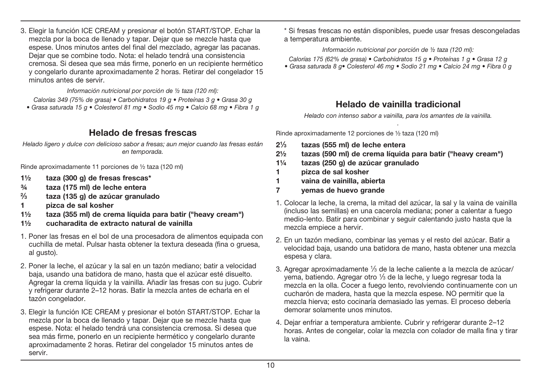3. Elegir la función ICE CREAM y presionar el botón START/STOP. Echar la mezcla por la boca de llenado y tapar. Dejar que se mezcle hasta que espese. Unos minutos antes del final del mezclado, agregar las pacanas. Dejar que se combine todo. Nota: el helado tendrá una consistencia cremosa. Si desea que sea más firme, ponerlo en un recipiente hermético y congelarlo durante aproximadamente 2 horas. Retirar del congelador 15 minutos antes de servir.

Información nutricional por porción de ½ taza (120 ml):

Calorias 349 (75% de grasa) • Carbohidratos 19 g • Proteinas 3 g • Grasa 30 g • Grasa saturada 15 g • Colesterol 81 mg • Sodio 45 mg • Calcio 68 mg • Fibra 1 g

## **Helado de fresas frescas**

Helado ligero y dulce con delicioso sabor a fresas; aun mejor cuando las fresas están en temporada.

Rinde aproximadamente 11 porciones de ½ taza (120 ml)

- **1½ taza (300 g) de fresas frescas\***
- **¾ taza (175 ml) de leche entera**
- **2⁄3 taza (135 g) de azúcar granulado**
- **1 pizca de sal kosher**
- **1½ taza (355 ml) de crema líquida para batir ("heavy cream")**
- **1½ cucharadita de extracto natural de vainilla**
- 1. Poner las fresas en el bol de una procesadora de alimentos equipada con cuchilla de metal. Pulsar hasta obtener la textura deseada (fina o gruesa, al gusto).
- 2. Poner la leche, el azúcar y la sal en un tazón mediano; batir a velocidad baja, usando una batidora de mano, hasta que el azúcar esté disuelto. Agregar la crema líquida y la vainilla. Añadir las fresas con su jugo. Cubrir y refrigerar durante 2–12 horas. Batir la mezcla antes de echarla en el tazón congelador.
- 3. Elegir la función ICE CREAM y presionar el botón START/STOP. Echar la mezcla por la boca de llenado y tapar. Dejar que se mezcle hasta que espese. Nota: el helado tendrá una consistencia cremosa. Si desea que sea más firme, ponerlo en un recipiente hermético y congelarlo durante aproximadamente 2 horas. Retirar del congelador 15 minutos antes de servir.

 \* Si fresas frescas no están disponibles, puede usar fresas descongeladas a temperatura ambiente.

#### Información nutricional por porción de ½ taza (120 ml):

Calorias 175 (62% de grasa) • Carbohidratos 15 g • Proteinas 1 g • Grasa 12 g

• Grasa saturada 8 g • Colesterol 46 mg • Sodio 21 mg • Calcio 24 mg • Fibra 0 g

## **Helado de vainilla tradicional**

Helado con intenso sabor a vainilla, para los amantes de la vainilla. .

Rinde aproximadamente 12 porciones de ½ taza (120 ml)

- **21⁄3 tazas (555 ml) de leche entera**
- **2½ tazas (590 ml) de crema líquida para batir ("heavy cream")**
- **1¼ tazas (250 g) de azúcar granulado**
- **1 pizca de sal kosher**
- **1 vaina de vainilla, abierta**
- **7 yemas de huevo grande**
- 1. Colocar la leche, la crema, la mitad del azúcar, la sal y la vaina de vainilla (incluso las semillas) en una cacerola mediana; poner a calentar a fuego medio-lento. Batir para combinar y seguir calentando justo hasta que la mezcla empiece a hervir.
- 2. En un tazón mediano, combinar las yemas y el resto del azúcar. Batir a velocidad baja, usando una batidora de mano, hasta obtener una mezcla espesa y clara.
- 3. Agregar aproximadamente 1/3 de la leche caliente a la mezcla de azúcar/ yema, batiendo. Agregar otro 1⁄3 de la leche, y luego regresar toda la mezcla en la olla. Cocer a fuego lento, revolviendo continuamente con un cucharón de madera, hasta que la mezcla espese. NO permitir que la mezcla hierva; esto cocinaría demasiado las yemas. El proceso debería demorar solamente unos minutos.
- 4. Dejar enfriar a temperatura ambiente. Cubrir y refrigerar durante 2–12 horas. Antes de congelar, colar la mezcla con colador de malla fina y tirar la vaina.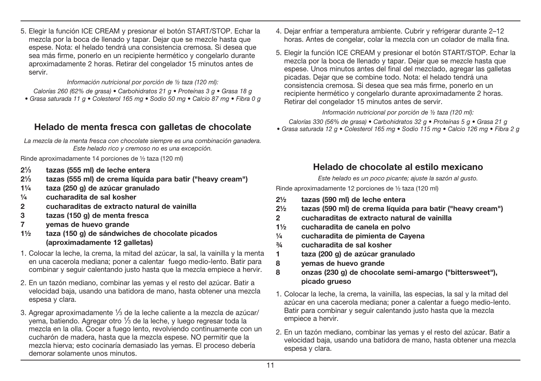5. Elegir la función ICE CREAM y presionar el botón START/STOP. Echar la mezcla por la boca de llenado y tapar. Dejar que se mezcle hasta que espese. Nota: el helado tendrá una consistencia cremosa. Si desea que sea más firme, ponerlo en un recipiente hermético y congelarlo durante aproximadamente 2 horas. Retirar del congelador 15 minutos antes de servir.

Información nutricional por porción de ½ taza (120 ml):

Calorías 260 (62% de grasa) • Carbohidratos 21 g • Proteínas 3 g • Grasa 18 g • Grasa saturada 11 g • Colesterol 165 mg • Sodio 50 mg • Calcio 87 mg • Fibra 0 g

## **Helado de menta fresca con galletas de chocolate**

La mezcla de la menta fresca con chocolate siempre es una combinación ganadera. Este helado rico y cremoso no es una excepción.

Rinde aproximadamente 14 porciones de ½ taza (120 ml)

- **21⁄3 tazas (555 ml) de leche entera**
- **21⁄3 tazas (555 ml) de crema líquida para batir ("heavy cream")**
- **1¼ taza (250 g) de azúcar granulado**
- **¼ cucharadita de sal kosher**
- **2 cucharaditas de extracto natural de vainilla**
- **3 tazas (150 g) de menta fresca**
- **7 yemas de huevo grande**
- **1½ taza (150 g) de sándwiches de chocolate picados (aproximadamente 12 galletas)**
- 1. Colocar la leche, la crema, la mitad del azúcar, la sal, la vainilla y la menta en una cacerola mediana; poner a calentar fuego medio-lento. Batir para combinar y seguir calentando justo hasta que la mezcla empiece a hervir.
- 2. En un tazón mediano, combinar las yemas y el resto del azúcar. Batir a velocidad baja, usando una batidora de mano, hasta obtener una mezcla espesa y clara.
- 3. Agregar aproximadamente 1⁄3 de la leche caliente a la mezcla de azúcar/ yema, batiendo. Agregar otro 1⁄3 de la leche, y luego regresar toda la mezcla en la olla. Cocer a fuego lento, revolviendo continuamente con un cucharón de madera, hasta que la mezcla espese. NO permitir que la mezcla hierva; esto cocinaría demasiado las yemas. El proceso debería demorar solamente unos minutos.
- 4. Dejar enfriar a temperatura ambiente. Cubrir y refrigerar durante 2–12 horas. Antes de congelar, colar la mezcla con un colador de malla fina.
- 5. Elegir la función ICE CREAM y presionar el botón START/STOP. Echar la mezcla por la boca de llenado y tapar. Dejar que se mezcle hasta que espese. Unos minutos antes del final del mezclado, agregar las galletas picadas. Dejar que se combine todo. Nota: el helado tendrá una consistencia cremosa. Si desea que sea más firme, ponerlo en un recipiente hermético y congelarlo durante aproximadamente 2 horas. Retirar del congelador 15 minutos antes de servir.

Información nutricional por porción de ½ taza (120 ml):

Calorías 330 (56% de grasa) • Carbohidratos 32 g • Proteínas 5 g • Grasa 21 g • Grasa saturada 12 g · Colesterol 165 mg · Sodio 115 mg · Calcio 126 mg · Fibra 2 g

## **Helado de chocolate al estilo mexicano**

Este helado es un poco picante; ajuste la sazón al gusto.

Rinde aproximadamente 12 porciones de ½ taza (120 ml)

- **2½ tazas (590 ml) de leche entera**
- **2½ tazas (590 ml) de crema líquida para batir ("heavy cream")**
- **2 cucharaditas de extracto natural de vainilla**
- **1½ cucharadita de canela en polvo**
- **¼ cucharadita de pimienta de Cayena**
- **¾ cucharadita de sal kosher**
- **1 taza (200 g) de azúcar granulado**
- **8 yemas de huevo grande**
- **8 onzas (230 g) de chocolate semi-amargo ("bittersweet"), picado grueso**
- 1. Colocar la leche, la crema, la vainilla, las especias, la sal y la mitad del azúcar en una cacerola mediana; poner a calentar a fuego medio-lento. Batir para combinar y seguir calentando justo hasta que la mezcla empiece a hervir.
- 2. En un tazón mediano, combinar las yemas y el resto del azúcar. Batir a velocidad baja, usando una batidora de mano, hasta obtener una mezcla espesa y clara.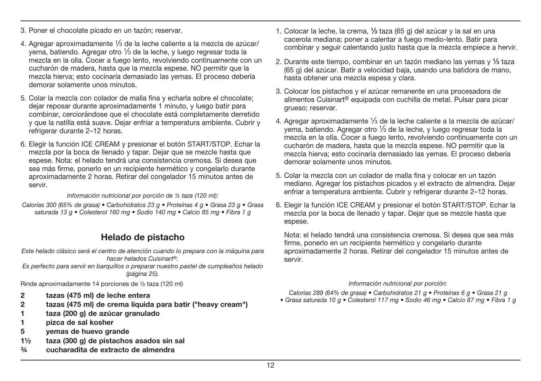- 3. Poner el chocolate picado en un tazón; reservar.
- 4. Agregar aproximadamente 1⁄3 de la leche caliente a la mezcla de azúcar/ yema, batiendo. Agregar otro 1⁄3 de la leche, y luego regresar toda la mezcla en la olla. Cocer a fuego lento, revolviendo continuamente con un cucharón de madera, hasta que la mezcla espese. NO permitir que la mezcla hierva; esto cocinaría demasiado las yemas. El proceso debería demorar solamente unos minutos.
- 5. Colar la mezcla con colador de malla fina y echarla sobre el chocolate; dejar reposar durante aproximadamente 1 minuto, y luego batir para combinar, cerciorándose que el chocolate está completamente derretido y que la natilla está suave. Dejar enfriar a temperatura ambiente. Cubrir y refrigerar durante 2–12 horas.
- 6. Elegir la función ICE CREAM y presionar el botón START/STOP. Echar la mezcla por la boca de llenado y tapar. Dejar que se mezcle hasta que espese. Nota: el helado tendrá una consistencia cremosa. Si desea que sea más firme, ponerlo en un recipiente hermético y congelarlo durante aproximadamente 2 horas. Retirar del congelador 15 minutos antes de servir.

#### Información nutricional por porción de ½ taza (120 ml):

Calorías 300 (65% de grasa) • Carbohidratos 23 g • Proteínas 4 g • Grasa 23 g • Grasa saturada 13 g · Colesterol 160 mg · Sodio 140 mg · Calcio 85 mg · Fibra 1 g

## **Helado de pistacho**

- Este helado clásico será el centro de atención cuando lo prepara con la máquina para hacer helados Cuisinart®.
- Es perfecto para servir en barquillos o preparar nuestro pastel de cumpleaños helado (página 25).

Rinde aproximadamente 14 porciones de ½ taza (120 ml)

- **2 tazas (475 ml) de leche entera**
- **2 tazas (475 ml) de crema líquida para batir ("heavy cream")**
- **1 taza (200 g) de azúcar granulado**
- **1 pizca de sal kosher**
- **5 yemas de huevo grande**
- **1½ taza (300 g) de pistachos asados sin sal**
- **¾ cucharadita de extracto de almendra**
- 1. Colocar la leche, la crema, **1⁄3** taza (65 g) del azúcar y la sal en una cacerola mediana; poner a calentar a fuego medio-lento. Batir para combinar y seguir calentando justo hasta que la mezcla empiece a hervir.
- 2. Durante este tiempo, combinar en un tazón mediano las yemas y **1⁄3** taza (65 g) del azúcar. Batir a velocidad baja, usando una batidora de mano, hasta obtener una mezcla espesa y clara.
- 3. Colocar los pistachos y el azúcar remanente en una procesadora de alimentos Cuisinart<sup>®</sup> equipada con cuchilla de metal. Pulsar para picar grueso; reservar.
- 4. Agregar aproximadamente 1⁄3 de la leche caliente a la mezcla de azúcar/ yema, batiendo. Agregar otro 1⁄3 de la leche, y luego regresar toda la mezcla en la olla. Cocer a fuego lento, revolviendo continuamente con un cucharón de madera, hasta que la mezcla espese. NO permitir que la mezcla hierva; esto cocinaría demasiado las yemas. El proceso debería demorar solamente unos minutos.
- 5. Colar la mezcla con un colador de malla fina y colocar en un tazón mediano. Agregar los pistachos picados y el extracto de almendra. Dejar enfriar a temperatura ambiente. Cubrir y refrigerar durante 2–12 horas.
- 6. Elegir la función ICE CREAM y presionar el botón START/STOP. Echar la mezcla por la boca de llenado y tapar. Dejar que se mezcle hasta que espese.

 Nota: el helado tendrá una consistencia cremosa. Si desea que sea más firme, ponerlo en un recipiente hermético y congelarlo durante aproximadamente 2 horas. Retirar del congelador 15 minutos antes de servir.

#### Información nutricional por porción:

Calorías 289 (64% de grasa) • Carbohidratos 21 g • Proteínas 6 g • Grasa 21 g • Grasa saturada 10 g • Colesterol 117 mg • Sodio 46 mg • Calcio 87 mg • Fibra 1 g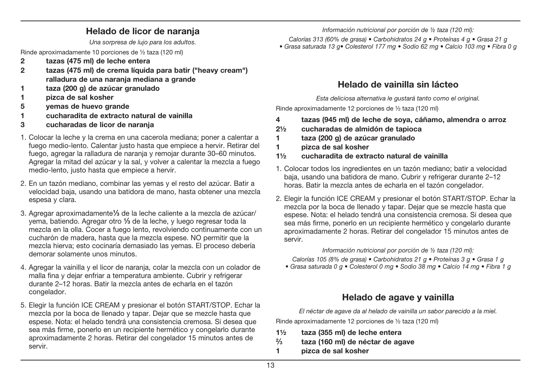## **Helado de licor de naranja**

Una sorpresa de lujo para los adultos.

Rinde aproximadamente 10 porciones de ½ taza (120 ml)

- **2 tazas (475 ml) de leche entera**
- **2 tazas (475 ml) de crema líquida para batir ("heavy cream") ralladura de una naranja mediana a grande**
- **1 taza (200 g) de azúcar granulado**
- **1 pizca de sal kosher**
- **5 yemas de huevo grande**
- **1 cucharadita de extracto natural de vainilla**
- **3 cucharadas de licor de naranja**
- 1. Colocar la leche y la crema en una cacerola mediana; poner a calentar a fuego medio-lento. Calentar justo hasta que empiece a hervir. Retirar del fuego, agregar la ralladura de naranja y remojar durante 30–60 minutos. Agregar la mitad del azúcar y la sal, y volver a calentar la mezcla a fuego medio-lento, justo hasta que empiece a hervir.
- 2. En un tazón mediano, combinar las yemas y el resto del azúcar. Batir a velocidad baja, usando una batidora de mano, hasta obtener una mezcla espesa y clara.
- 3. Agregar aproximadamente**1⁄3** de la leche caliente a la mezcla de azúcar/ yema, batiendo. Agregar otro **1⁄3** de la leche, y luego regresar toda la mezcla en la olla. Cocer a fuego lento, revolviendo continuamente con un cucharón de madera, hasta que la mezcla espese. NO permitir que la mezcla hierva; esto cocinaría demasiado las yemas. El proceso debería demorar solamente unos minutos.
- 4. Agregar la vainilla y el licor de naranja, colar la mezcla con un colador de malla fina y dejar enfriar a temperatura ambiente. Cubrir y refrigerar durante 2–12 horas. Batir la mezcla antes de echarla en el tazón congelador.
- 5. Elegir la función ICE CREAM y presionar el botón START/STOP. Echar la mezcla por la boca de llenado y tapar. Dejar que se mezcle hasta que espese. Nota: el helado tendrá una consistencia cremosa. Si desea que sea más firme, ponerlo en un recipiente hermético y congelarlo durante aproximadamente 2 horas. Retirar del congelador 15 minutos antes de servir.

Información nutricional por porción de ½ taza (120 ml):

Calorías 313 (60% de grasa) • Carbohidratos 24 g • Proteínas 4 g • Grasa 21 g

• Grasa saturada 13 g • Colesterol 177 mg • Sodio 62 mg • Calcio 103 mg • Fibra 0 g

## **Helado de vainilla sin lácteo**

Esta deliciosa alternativa le gustará tanto como el original.

Rinde aproximadamente 12 porciones de ½ taza (120 ml)

- **4 tazas (945 ml) de leche de soya, cáñamo, almendra o arroz**
- **2½ cucharadas de almidón de tapioca**
- **1 taza (200 g) de azúcar granulado**
- **1 pizca de sal kosher**
- **1½ cucharadita de extracto natural de vainilla**
- 1. Colocar todos los ingredientes en un tazón mediano; batir a velocidad baja, usando una batidora de mano. Cubrir y refrigerar durante 2–12 horas. Batir la mezcla antes de echarla en el tazón congelador.
- 2. Elegir la función ICE CREAM y presionar el botón START/STOP. Echar la mezcla por la boca de llenado y tapar. Dejar que se mezcle hasta que espese. Nota: el helado tendrá una consistencia cremosa. Si desea que sea más firme, ponerlo en un recipiente hermético y congelarlo durante aproximadamente 2 horas. Retirar del congelador 15 minutos antes de servir.

Información nutricional por porción de ½ taza (120 ml):

Calorías 105 (8% de grasa) • Carbohidratos 21 g • Proteínas 3 g • Grasa 1 g

• Grasa saturada 0 g • Colesterol 0 mg • Sodio 38 mg • Calcio 14 mg • Fibra 1 g

## **Helado de agave y vainilla**

El néctar de agave da al helado de vainilla un sabor parecido a la miel. Rinde aproximadamente 12 porciones de ½ taza (120 ml)

- **1½ taza (355 ml) de leche entera**
- **2⁄3 taza (160 ml) de néctar de agave**
- **1 pizca de sal kosher**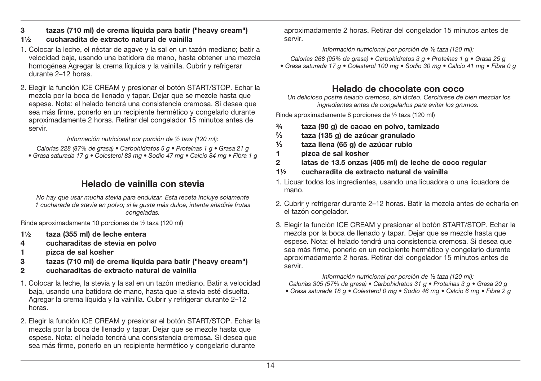**3 tazas (710 ml) de crema líquida para batir ("heavy cream")**

#### **1½ cucharadita de extracto natural de vainilla**

- 1. Colocar la leche, el néctar de agave y la sal en un tazón mediano; batir a velocidad baja, usando una batidora de mano, hasta obtener una mezcla homogénea Agregar la crema líquida y la vainilla. Cubrir y refrigerar durante 2–12 horas.
- 2. Elegir la función ICE CREAM y presionar el botón START/STOP. Echar la mezcla por la boca de llenado y tapar. Dejar que se mezcle hasta que espese. Nota: el helado tendrá una consistencia cremosa. Si desea que sea más firme, ponerlo en un recipiente hermético y congelarlo durante aproximadamente 2 horas. Retirar del congelador 15 minutos antes de servir.

#### Información nutricional por porción de ½ taza (120 ml):

Calorías 228 (87% de grasa) • Carbohidratos 5 g • Proteínas 1 g • Grasa 21 g • Grasa saturada 17 g · Colesterol 83 mg · Sodio 47 mg · Calcio 84 mg · Fibra 1 g

## **Helado de vainilla con stevia**

No hay que usar mucha stevia para endulzar. Esta receta incluve solamente 1 cucharada de stevia en polvo; si le gusta más dulce, intente añadirle frutas congeladas.

Rinde aproximadamente 10 porciones de ½ taza (120 ml)

- **1½ taza (355 ml) de leche entera**
- **4 cucharaditas de stevia en polvo**
- **1 pizca de sal kosher**
- **3 tazas (710 ml) de crema líquida para batir ("heavy cream")**
- **2 cucharaditas de extracto natural de vainilla**
- 1. Colocar la leche, la stevia y la sal en un tazón mediano. Batir a velocidad baja, usando una batidora de mano, hasta que la stevia esté disuelta. Agregar la crema líquida y la vainilla. Cubrir y refrigerar durante 2–12 horas.
- 2. Elegir la función ICE CREAM y presionar el botón START/STOP. Echar la mezcla por la boca de llenado y tapar. Dejar que se mezcle hasta que espese. Nota: el helado tendrá una consistencia cremosa. Si desea que sea más firme, ponerlo en un recipiente hermético y congelarlo durante

aproximadamente 2 horas. Retirar del congelador 15 minutos antes de servir.

#### Información nutricional por porción de ½ taza (120 ml):

Calorías 268 (95% de grasa) • Carbohidratos 3 g • Proteínas 1 g • Grasa 25 g Grasa saturada 17 g · Colesterol 100 mg · Sodio 30 mg · Calcio 41 mg · Fibra 0 g

## **Helado de chocolate con coco**

 Un delicioso postre helado cremoso, sin lácteo. Cerciórese de bien mezclar los ingredientes antes de congelarlos para evitar los grumos.

Rinde aproximadamente 8 porciones de ½ taza (120 ml)

- **¾ taza (90 g) de cacao en polvo, tamizado**
- **2⁄3 taza (135 g) de azúcar granulado**
- **1⁄3 taza llena (65 g) de azúcar rubio**
- **1 pizca de sal kosher**
- **2 latas de 13.5 onzas (405 ml) de leche de coco regular**
- **1½ cucharadita de extracto natural de vainilla**
- 1. Licuar todos los ingredientes, usando una licuadora o una licuadora de mano.
- 2. Cubrir y refrigerar durante 2–12 horas. Batir la mezcla antes de echarla en el tazón congelador.
- 3. Elegir la función ICE CREAM y presionar el botón START/STOP. Echar la mezcla por la boca de llenado y tapar. Dejar que se mezcle hasta que espese. Nota: el helado tendrá una consistencia cremosa. Si desea que sea más firme, ponerlo en un recipiente hermético y congelarlo durante aproximadamente 2 horas. Retirar del congelador 15 minutos antes de servir.

#### Información nutricional por porción de ½ taza (120 ml):

Calorías 305 (57% de grasa) • Carbohidratos 31 g • Proteínas 3 g • Grasa 20 g

• Grasa saturada 18 g • Colesterol 0 mg • Sodio 46 mg • Calcio 6 mg • Fibra 2 g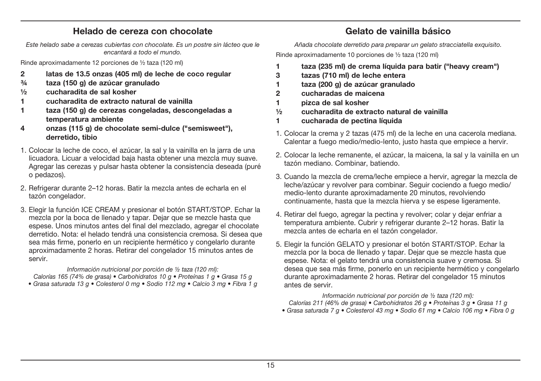## **Helado de cereza con chocolate**

Este helado sabe a cerezas cubiertas con chocolate. Es un postre sin lácteo que le encantará a todo el mundo.

Rinde aproximadamente 12 porciones de ½ taza (120 ml)

- **2 latas de 13.5 onzas (405 ml) de leche de coco regular**
- **¾ taza (150 g) de azúcar granulado**
- **½ cucharadita de sal kosher**
- **1 cucharadita de extracto natural de vainilla**
- **1 taza (150 g) de cerezas congeladas, descongeladas a temperatura ambiente**
- **4 onzas (115 g) de chocolate semi-dulce ("semisweet"), derretido, tibio**
- 1. Colocar la leche de coco, el azúcar, la sal y la vainilla en la jarra de una licuadora. Licuar a velocidad baja hasta obtener una mezcla muy suave. Agregar las cerezas y pulsar hasta obtener la consistencia deseada (puré o pedazos).
- 2. Refrigerar durante 2–12 horas. Batir la mezcla antes de echarla en el tazón congelador.
- 3. Elegir la función ICE CREAM y presionar el botón START/STOP. Echar la mezcla por la boca de llenado y tapar. Dejar que se mezcle hasta que espese. Unos minutos antes del final del mezclado, agregar el chocolate derretido. Nota: el helado tendrá una consistencia cremosa. Si desea que sea más firme, ponerlo en un recipiente hermético y congelarlo durante aproximadamente 2 horas. Retirar del congelador 15 minutos antes de servir.

Información nutricional por porción de ½ taza (120 ml):

Calorías 165 (74% de grasa) • Carbohidratos 10 g • Proteínas 1 g • Grasa 15 g • Grasa saturada 13 g • Colesterol 0 mg • Sodio 112 mg • Calcio 3 mg • Fibra 1 g **Gelato de vainilla básico**

Añada chocolate derretido para preparar un gelato stracciatella exquisito.

Rinde aproximadamente 10 porciones de ½ taza (120 ml)

- **1 taza (235 ml) de crema líquida para batir ("heavy cream")**
- **3 tazas (710 ml) de leche entera**
- **1 taza (200 g) de azúcar granulado**
- **2 cucharadas de maicena**
- **1 pizca de sal kosher**
- **½ cucharadita de extracto natural de vainilla**
- **1 cucharada de pectina líquida**
- 1. Colocar la crema y 2 tazas (475 ml) de la leche en una cacerola mediana. Calentar a fuego medio/medio-lento, justo hasta que empiece a hervir.
- 2. Colocar la leche remanente, el azúcar, la maicena, la sal y la vainilla en un tazón mediano. Combinar, batiendo.
- 3. Cuando la mezcla de crema/leche empiece a hervir, agregar la mezcla de leche/azúcar y revolver para combinar. Seguir cociendo a fuego medio/ medio-lento durante aproximadamente 20 minutos, revolviendo continuamente, hasta que la mezcla hierva y se espese ligeramente.
- 4. Retirar del fuego, agregar la pectina y revolver; colar y dejar enfriar a temperatura ambiente. Cubrir y refrigerar durante 2–12 horas. Batir la mezcla antes de echarla en el tazón congelador.
- 5. Elegir la función GELATO y presionar el botón START/STOP. Echar la mezcla por la boca de llenado y tapar. Dejar que se mezcle hasta que espese. Nota: el gelato tendrá una consistencia suave y cremosa. Si desea que sea más firme, ponerlo en un recipiente hermético y congelarlo durante aproximadamente 2 horas. Retirar del congelador 15 minutos antes de servir.

Información nutricional por porción de ½ taza (120 ml):

- Calorías 211 (46% de grasa) Carbohidratos 26 g Proteínas 3 g Grasa 11 g
- Grasa saturada 7 g Colesterol 43 mg Sodio 61 mg Calcio 106 mg Fibra 0 g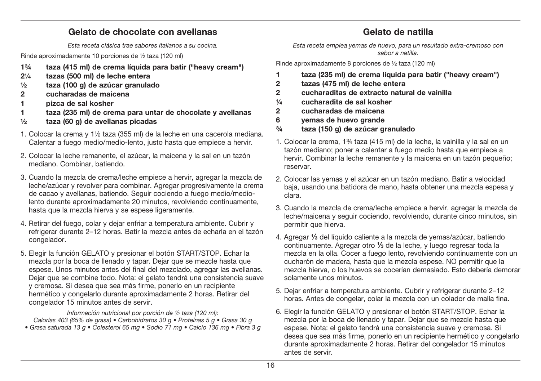### **Gelato de chocolate con avellanas**

Esta receta clásica trae sabores italianos a su cocina.

Rinde aproximadamente 10 porciones de ½ taza (120 ml)

- **1¾ taza (415 ml) de crema líquida para batir ("heavy cream")**
- **2¼ tazas (500 ml) de leche entera**
- **½ taza (100 g) de azúcar granulado**
- **2 cucharadas de maicena**
- **1 pizca de sal kosher**
- **1 taza (235 ml) de crema para untar de chocolate y avellanas**
- **½ taza (60 g) de avellanas picadas**
- 1. Colocar la crema y 1½ taza (355 ml) de la leche en una cacerola mediana. Calentar a fuego medio/medio-lento, justo hasta que empiece a hervir.
- 2. Colocar la leche remanente, el azúcar, la maicena y la sal en un tazón mediano. Combinar, batiendo.
- 3. Cuando la mezcla de crema/leche empiece a hervir, agregar la mezcla de leche/azúcar y revolver para combinar. Agregar progresivamente la crema de cacao y avellanas, batiendo. Seguir cociendo a fuego medio/mediolento durante aproximadamente 20 minutos, revolviendo continuamente, hasta que la mezcla hierva y se espese ligeramente.
- 4. Retirar del fuego, colar y dejar enfriar a temperatura ambiente. Cubrir y refrigerar durante 2–12 horas. Batir la mezcla antes de echarla en el tazón congelador.
- 5. Elegir la función GELATO y presionar el botón START/STOP. Echar la mezcla por la boca de llenado y tapar. Dejar que se mezcle hasta que espese. Unos minutos antes del final del mezclado, agregar las avellanas. Dejar que se combine todo. Nota: el gelato tendrá una consistencia suave y cremosa. Si desea que sea más firme, ponerlo en un recipiente hermético y congelarlo durante aproximadamente 2 horas. Retirar del congelador 15 minutos antes de servir.

Información nutricional por porción de ½ taza (120 ml): Calorías 403 (65% de grasa) • Carbohidratos 30 g • Proteínas 5 g • Grasa 30 g • Grasa saturada 13 g · Colesterol 65 mg · Sodio 71 mg · Calcio 136 mg · Fibra 3 g

## **Gelato de natilla**

Esta receta emplea vemas de huevo, para un resultado extra-cremoso con sabor a natilla.

Rinde aproximadamente 8 porciones de ½ taza (120 ml)

- **1 taza (235 ml) de crema líquida para batir ("heavy cream")**
- **2 tazas (475 ml) de leche entera**
- **2 cucharaditas de extracto natural de vainilla**
- **¼ cucharadita de sal kosher**
- **2 cucharadas de maicena**
- **6 yemas de huevo grande**
- **¾ taza (150 g) de azúcar granulado**
- 1. Colocar la crema, 1¾ taza (415 ml) de la leche, la vainilla y la sal en un tazón mediano; poner a calentar a fuego medio hasta que empiece a hervir. Combinar la leche remanente y la maicena en un tazón pequeño; reservar.
- 2. Colocar las yemas y el azúcar en un tazón mediano. Batir a velocidad baja, usando una batidora de mano, hasta obtener una mezcla espesa y clara.
- 3. Cuando la mezcla de crema/leche empiece a hervir, agregar la mezcla de leche/maicena y seguir cociendo, revolviendo, durante cinco minutos, sin permitir que hierva.
- 4. Agregar **1⁄3** del líquido caliente a la mezcla de yemas/azúcar, batiendo continuamente. Agregar otro **1⁄3** de la leche, y luego regresar toda la mezcla en la olla. Cocer a fuego lento, revolviendo continuamente con un cucharón de madera, hasta que la mezcla espese. NO permitir que la mezcla hierva, o los huevos se cocerían demasiado. Esto debería demorar solamente unos minutos.
- 5. Dejar enfriar a temperatura ambiente. Cubrir y refrigerar durante 2–12 horas. Antes de congelar, colar la mezcla con un colador de malla fina.
- 6. Elegir la función GELATO y presionar el botón START/STOP. Echar la mezcla por la boca de llenado y tapar. Dejar que se mezcle hasta que espese. Nota: el gelato tendrá una consistencia suave y cremosa. Si desea que sea más firme, ponerlo en un recipiente hermético y congelarlo durante aproximadamente 2 horas. Retirar del congelador 15 minutos antes de servir.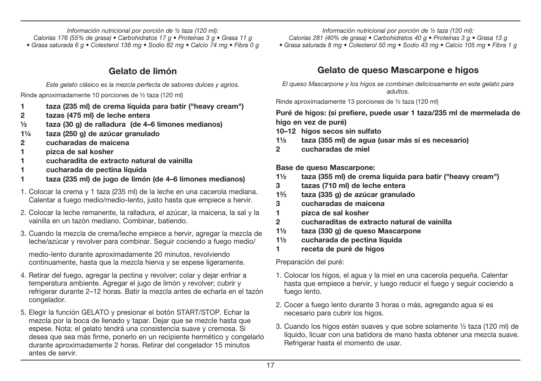Información nutricional por porción de ½ taza (120 ml): Calorías 176 (55% de grasa) • Carbohidratos 17 g • Proteínas 3 g • Grasa 11 g • Grasa saturada 6 g • Colesterol 138 mg • Sodio 82 mg • Calcio 74 mg • Fibra 0 g

## **Gelato de limón**

Este gelato clásico es la mezcla perfecta de sabores dulces y agrios. Rinde aproximadamente 10 porciones de ½ taza (120 ml)

- **1 taza (235 ml) de crema líquida para batir ("heavy cream")**
- **2 tazas (475 ml) de leche entera**
- **½ taza (30 g) de ralladura (de 4–6 limones medianos)**
- **1¼ taza (250 g) de azúcar granulado**
- **2 cucharadas de maicena**
- **1 pizca de sal kosher**
- **1 cucharadita de extracto natural de vainilla**
- **1 cucharada de pectina líquida**
- **1 taza (235 ml) de jugo de limón (de 4–6 limones medianos)**
- 1. Colocar la crema y 1 taza (235 ml) de la leche en una cacerola mediana. Calentar a fuego medio/medio-lento, justo hasta que empiece a hervir.
- 2. Colocar la leche remanente, la ralladura, el azúcar, la maicena, la sal y la vainilla en un tazón mediano. Combinar, batiendo.
- 3. Cuando la mezcla de crema/leche empiece a hervir, agregar la mezcla de leche/azúcar y revolver para combinar. Seguir cociendo a fuego medio/

 medio-lento durante aproximadamente 20 minutos, revolviendo continuamente, hasta que la mezcla hierva y se espese ligeramente.

- 4. Retirar del fuego, agregar la pectina y revolver; colar y dejar enfriar a temperatura ambiente. Agregar el jugo de limón y revolver; cubrir y refrigerar durante 2–12 horas. Batir la mezcla antes de echarla en el tazón congelador.
- 5. Elegir la función GELATO y presionar el botón START/STOP. Echar la mezcla por la boca de llenado y tapar. Dejar que se mezcle hasta que espese. Nota: el gelato tendrá una consistencia suave y cremosa. Si desea que sea más firme, ponerlo en un recipiente hermético y congelarlo durante aproximadamente 2 horas. Retirar del congelador 15 minutos antes de servir.

Información nutricional por porción de ½ taza (120 ml):

Calorías 281 (40% de grasa) • Carbohidratos 40 g • Proteínas 3 g • Grasa 13 g

• Grasa saturada 8 mg • Colesterol 50 mg • Sodio 43 mg • Calcio 105 mg • Fibra 1 g

## **Gelato de queso Mascarpone e higos**

El queso Mascarpone y los higos se combinan deliciosamente en este gelato para adultos.

Rinde aproximadamente 13 porciones de ½ taza (120 ml)

#### **Puré de higos: (si prefiere, puede usar 1 taza/235 ml de mermelada de higo en vez de puré)**

- **10–12 higos secos sin sulfato**
- **1½ taza (355 ml) de agua (usar más si es necesario)**
- **2 cucharadas de miel**

**Base de queso Mascarpone:**

- **1½ taza (355 ml) de crema líquida para batir ("heavy cream")**
- **3 tazas (710 ml) de leche entera**
- **12⁄3 taza (335 g) de azúcar granulado**
- **3 cucharadas de maicena**
- **1 pizca de sal kosher**
- **2 cucharaditas de extracto natural de vainilla**
- **1½ taza (330 g) de queso Mascarpone**
- **1½ cucharada de pectina líquida**
- **1 receta de puré de higos**

Preparación del puré:

- 1. Colocar los higos, el agua y la miel en una cacerola pequeña. Calentar hasta que empiece a hervir, y luego reducir el fuego y seguir cociendo a fuego lento.
- 2. Cocer a fuego lento durante 3 horas o más, agregando agua si es necesario para cubrir los higos.
- 3. Cuando los higos estén suaves y que sobre solamente ½ taza (120 ml) de líquido, licuar con una batidora de mano hasta obtener una mezcla suave. Refrigerar hasta el momento de usar.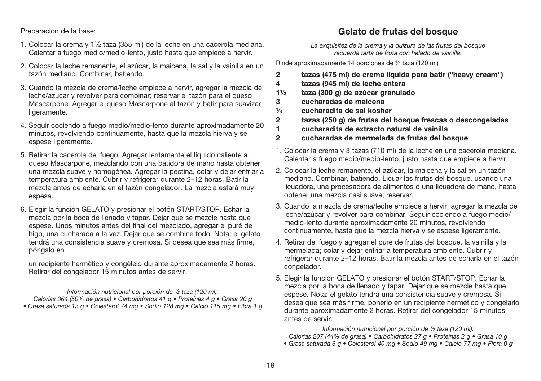Preparación de la base:

- 1. Colocar la crema y  $1\frac{1}{2}$  taza (355 ml) de la leche en una cacerola mediana. Calentar a fuego medio/medio-lento, justo hasta que empiece a hervir.
- 2. Colocar la leche remanente, el azúcar, la maicena, la sal y la vainilla en un tazón mediano. Combinar, batiendo.
- 3. Cuando la mezcla de crema/leche empiece a hervir, agregar la mezcla de leche/azúcar y revolver para combinar; reservar el tazón para el queso Mascarpone. Agregar el queso Mascarpone al tazón y batir para suavizar ligeramente.
- 4. Seguir cociendo a fuego medio/medio-lento durante aproximadamente 20 minutos, revolviendo continuamente, hasta que la mezcla hierva y se espese ligeramente.
- 5. Retirar la cacerola del fuego. Agregar lentamente el líquido caliente al queso Mascarpone, mezclando con una batidora de mano hasta obtener una mezcla suave y homogénea. Agregar la pectina, colar y dejar enfriar a temperatura ambiente. Cubrir y refrigerar durante 2–12 horas. Batir la mezcla antes de echarla en el tazón congelador. La mezcla estará muy espesa.
- 6. Elegir la función GELATO y presionar el botón START/STOP. Echar la mezcla por la boca de llenado y tapar. Dejar que se mezcle hasta que espese. Unos minutos antes del final del mezclado, agregar el puré de higo, una cucharada a la vez. Dejar que se combine todo. Nota: el gelato tendrá una consistencia suave y cremosa. Si desea que sea más firme, póngalo en

 un recipiente hermético y congélelo durante aproximadamente 2 horas. Retirar del congelador 15 minutos antes de servir.

Información nutricional por porción de ½ taza (120 ml): Calorías 364 (50% de grasa) • Carbohidratos 41 g • Proteínas 4 g • Grasa 20 g Grasa saturada 13 g · Colesterol 74 mg · Sodio 128 mg · Calcio 115 mg · Fibra 1 g

## **Gelato de frutas del bosque**

La exquisitez de la crema y la dulzura de las frutas del bosque recuerda tarta de fruta con helado de vainilla

Rinde aproximadamente 14 porciones de ½ taza (120 ml)

- **2 tazas (475 ml) de crema líquida para batir ("heavy cream")**
- **4 tazas (945 ml) de leche entera**
- **1½ taza (300 g) de azúcar granulado**
- **3 cucharadas de maicena**
- **¼ cucharadita de sal kosher**
- **2 tazas (250 g) de frutas del bosque frescas o descongeladas**
- **1 cucharadita de extracto natural de vainilla**
- **2 cucharadas de mermelada de frutas del bosque**
- 1. Colocar la crema y 3 tazas (710 ml) de la leche en una cacerola mediana. Calentar a fuego medio/medio-lento, justo hasta que empiece a hervir.
- 2. Colocar la leche remanente, el azúcar, la maicena y la sal en un tazón mediano. Combinar, batiendo. Licuar las frutas del bosque, usando una licuadora, una procesadora de alimentos o una licuadora de mano, hasta obtener una mezcla casi suave; reservar.
- 3. Cuando la mezcla de crema/leche empiece a hervir, agregar la mezcla de leche/azúcar y revolver para combinar. Seguir cociendo a fuego medio/ medio-lento durante aproximadamente 20 minutos, revolviendo continuamente, hasta que la mezcla hierva y se espese ligeramente.
- 4. Retirar del fuego y agregar el puré de frutas del bosque, la vainilla y la mermelada; colar y dejar enfriar a temperatura ambiente. Cubrir y refrigerar durante 2–12 horas. Batir la mezcla antes de echarla en el tazón congelador.
- 5. Elegir la función GELATO y presionar el botón START/STOP. Echar la mezcla por la boca de llenado y tapar. Dejar que se mezcle hasta que espese. Nota: el gelato tendrá una consistencia suave y cremosa. Si desea que sea más firme, ponerlo en un recipiente hermético y congelarlo durante aproximadamente 2 horas. Retirar del congelador 15 minutos antes de servir.

Información nutricional por porción de ½ taza (120 ml): Calorías 207 (44% de grasa) • Carbohidratos 27 g • Proteínas 2 g • Grasa 10 g • Grasa saturada 6 g · Colesterol 40 mg · Sodio 49 mg · Calcio 77 mg · Fibra 0 g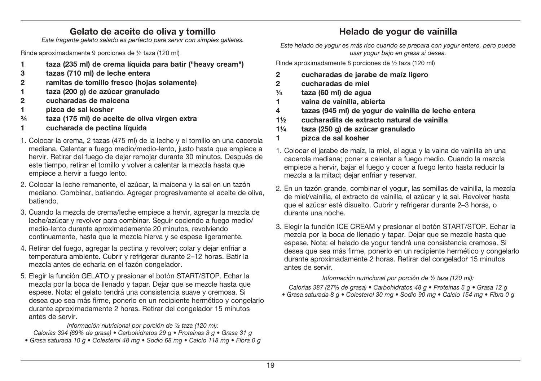## **Gelato de aceite de oliva y tomillo**

Este fragante gelato salado es perfecto para servir con simples galletas.

Rinde aproximadamente 9 porciones de ½ taza (120 ml)

- **1 taza (235 ml) de crema líquida para batir ("heavy cream")**
- **3 tazas (710 ml) de leche entera**
- **2 ramitas de tomillo fresco (hojas solamente)**
- **1 taza (200 g) de azúcar granulado**
- **2 cucharadas de maicena**
- **1 pizca de sal kosher**
- **¾ taza (175 ml) de aceite de oliva virgen extra**
- **1 cucharada de pectina líquida**
- 1. Colocar la crema, 2 tazas (475 ml) de la leche y el tomillo en una cacerola mediana. Calentar a fuego medio/medio-lento, justo hasta que empiece a hervir. Retirar del fuego de dejar remojar durante 30 minutos. Después de este tiempo, retirar el tomillo y volver a calentar la mezcla hasta que empiece a hervir a fuego lento.
- 2. Colocar la leche remanente, el azúcar, la maicena y la sal en un tazón mediano. Combinar, batiendo. Agregar progresivamente el aceite de oliva, batiendo.
- 3. Cuando la mezcla de crema/leche empiece a hervir, agregar la mezcla de leche/azúcar y revolver para combinar. Seguir cociendo a fuego medio/ medio-lento durante aproximadamente 20 minutos, revolviendo continuamente, hasta que la mezcla hierva y se espese ligeramente.
- 4. Retirar del fuego, agregar la pectina y revolver; colar y dejar enfriar a temperatura ambiente. Cubrir y refrigerar durante 2–12 horas. Batir la mezcla antes de echarla en el tazón congelador.
- 5. Elegir la función GELATO y presionar el botón START/STOP. Echar la mezcla por la boca de llenado y tapar. Dejar que se mezcle hasta que espese. Nota: el gelato tendrá una consistencia suave y cremosa. Si desea que sea más firme, ponerlo en un recipiente hermético y congelarlo durante aproximadamente 2 horas. Retirar del congelador 15 minutos antes de servir.

Información nutricional por porción de ½ taza (120 ml):

Calorías 394 (69% de grasa) • Carbohidratos 29 g • Proteínas 3 g • Grasa 31 g • Grasa saturada 10 g • Colesterol 48 mg • Sodio 68 mg • Calcio 118 mg • Fibra 0 g

- 
- 
- - 3. Elegir la función ICE CREAM y presionar el botón START/STOP. Echar la mezcla por la boca de llenado y tapar. Dejar que se mezcle hasta que espese. Nota: el helado de yogur tendrá una consistencia cremosa. Si desea que sea más firme, ponerlo en un recipiente hermético y congelarlo durante aproximadamente 2 horas. Retirar del congelador 15 minutos antes de servir.

Información nutricional por porción de ½ taza (120 ml):

Calorías 387 (27% de grasa) • Carbohidratos 48 g • Proteínas 5 g • Grasa 12 g • Grasa saturada 8 g • Colesterol 30 mg • Sodio 90 mg • Calcio 154 mg • Fibra 0 g

## **Helado de yogur de vainilla**

Este helado de yogur es más rico cuando se prepara con yogur entero, pero puede usar yogur bajo en grasa si desea.

Rinde aproximadamente 8 porciones de ½ taza (120 ml)

- **2 cucharadas de jarabe de maíz ligero**
- **2 cucharadas de miel**
- **¼ taza (60 ml) de agua**
- **1 vaina de vainilla, abierta**
- **4 tazas (945 ml) de yogur de vainilla de leche entera**
- **1½ cucharadita de extracto natural de vainilla**
- **1¼ taza (250 g) de azúcar granulado**
- **1 pizca de sal kosher**
- 1. Colocar el jarabe de maíz, la miel, el agua y la vaina de vainilla en una cacerola mediana; poner a calentar a fuego medio. Cuando la mezcla empiece a hervir, bajar el fuego y cocer a fuego lento hasta reducir la mezcla a la mitad; dejar enfriar y reservar.
- 2. En un tazón grande, combinar el yogur, las semillas de vainilla, la mezcla de miel/vainilla, el extracto de vainilla, el azúcar y la sal. Revolver hasta que el azúcar esté disuelto. Cubrir y refrigerar durante 2–3 horas, o durante una noche.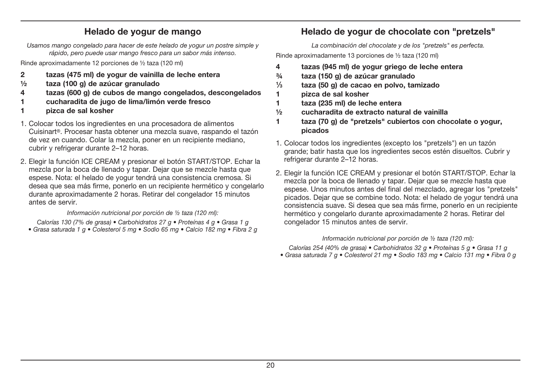## **Helado de yogur de mango**

Usamos mango congelado para hacer de este helado de yogur un postre simple y rápido, pero puede usar mango fresco para un sabor más intenso.

Rinde aproximadamente 12 porciones de ½ taza (120 ml)

- **2 tazas (475 ml) de yogur de vainilla de leche entera**
- **½ taza (100 g) de azúcar granulado**
- **4 tazas (600 g) de cubos de mango congelados, descongelados**
- **1 cucharadita de jugo de lima/limón verde fresco**
- **1 pizca de sal kosher**
- 1. Colocar todos los ingredientes en una procesadora de alimentos Cuisinart®. Procesar hasta obtener una mezcla suave, raspando el tazón de vez en cuando. Colar la mezcla, poner en un recipiente mediano, cubrir y refrigerar durante 2–12 horas.
- 2. Elegir la función ICE CREAM y presionar el botón START/STOP. Echar la mezcla por la boca de llenado y tapar. Dejar que se mezcle hasta que espese. Nota: el helado de yogur tendrá una consistencia cremosa. Si desea que sea más firme, ponerlo en un recipiente hermético y congelarlo durante aproximadamente 2 horas. Retirar del congelador 15 minutos antes de servir.

#### Información nutricional por porción de ½ taza (120 ml):

Calorías 130 (7% de grasa) • Carbohidratos 27 g • Proteínas 4 g • Grasa 1 g • Grasa saturada 1 g • Colesterol 5 mg • Sodio 65 mg • Calcio 182 mg • Fibra 2 g

## **Helado de yogur de chocolate con "pretzels"**

La combinación del chocolate y de los "pretzels" es perfecta.

Rinde aproximadamente 13 porciones de ½ taza (120 ml)

- **4 tazas (945 ml) de yogur griego de leche entera**
- **¾ taza (150 g) de azúcar granulado**
- **1⁄3 taza (50 g) de cacao en polvo, tamizado**
- **1 pizca de sal kosher**
- **1 taza (235 ml) de leche entera**
- **½ cucharadita de extracto natural de vainilla**
- **1 taza (70 g) de "pretzels" cubiertos con chocolate o yogur, picados**
- 1. Colocar todos los ingredientes (excepto los "pretzels") en un tazón grande; batir hasta que los ingredientes secos estén disueltos. Cubrir y refrigerar durante 2–12 horas.
- 2. Elegir la función ICE CREAM y presionar el botón START/STOP. Echar la mezcla por la boca de llenado y tapar. Dejar que se mezcle hasta que espese. Unos minutos antes del final del mezclado, agregar los "pretzels" picados. Dejar que se combine todo. Nota: el helado de yogur tendrá una consistencia suave. Si desea que sea más firme, ponerlo en un recipiente hermético y congelarlo durante aproximadamente 2 horas. Retirar del congelador 15 minutos antes de servir.

#### Información nutricional por porción de ½ taza (120 ml):

Calorías 254 (40% de grasa) • Carbohidratos 32 g • Proteínas 5 g • Grasa 11 g Grasa saturada 7 q · Colesterol 21 mg · Sodio 183 mg · Calcio 131 mg · Fibra 0 q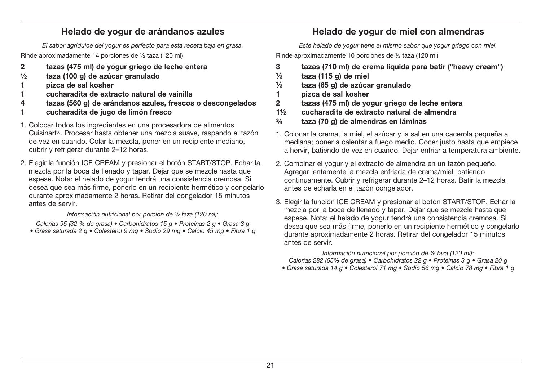### **Helado de yogur de arándanos azules**

El sabor agridulce del yogur es perfecto para esta receta baja en grasa.

Rinde aproximadamente 14 porciones de ½ taza (120 ml)

- **2 tazas (475 ml) de yogur griego de leche entera**
- **½ taza (100 g) de azúcar granulado**
- **1 pizca de sal kosher**
- **1 cucharadita de extracto natural de vainilla**
- **4 tazas (560 g) de arándanos azules, frescos o descongelados**
- **1 cucharadita de jugo de limón fresco**
- 1. Colocar todos los ingredientes en una procesadora de alimentos Cuisinart®. Procesar hasta obtener una mezcla suave, raspando el tazón de vez en cuando. Colar la mezcla, poner en un recipiente mediano, cubrir y refrigerar durante 2-12 horas.
- 2. Elegir la función ICE CREAM y presionar el botón START/STOP. Echar la mezcla por la boca de llenado y tapar. Dejar que se mezcle hasta que espese. Nota: el helado de yogur tendrá una consistencia cremosa. Si desea que sea más firme, ponerlo en un recipiente hermético y congelarlo durante aproximadamente 2 horas. Retirar del congelador 15 minutos antes de servir.

Información nutricional por porción de ½ taza (120 ml):

Calorías 95 (32 % de grasa) • Carbohidratos 15 g • Proteínas 2 g • Grasa 3 g • Grasa saturada 2 g • Colesterol 9 mg • Sodio 29 mg • Calcio 45 mg • Fibra 1 g

## **Helado de yogur de miel con almendras**

Este helado de yogur tiene el mismo sabor que yogur griego con miel.

Rinde aproximadamente 10 porciones de ½ taza (120 ml)

- **3 tazas (710 ml) de crema líquida para batir ("heavy cream")**
- **1⁄3 taza (115 g) de miel**
- **1⁄3 taza (65 g) de azúcar granulado**
- **1 pizca de sal kosher**
- **2 tazas (475 ml) de yogur griego de leche entera**
- **1½ cucharadita de extracto natural de almendra**
- **¾ taza (70 g) de almendras en láminas**
- 1. Colocar la crema, la miel, el azúcar y la sal en una cacerola pequeña a mediana; poner a calentar a fuego medio. Cocer justo hasta que empiece a hervir, batiendo de vez en cuando. Dejar enfriar a temperatura ambiente.
- 2. Combinar el yogur y el extracto de almendra en un tazón pequeño. Agregar lentamente la mezcla enfriada de crema/miel, batiendo continuamente. Cubrir y refrigerar durante 2–12 horas. Batir la mezcla antes de echarla en el tazón congelador.
- 3. Elegir la función ICE CREAM y presionar el botón START/STOP. Echar la mezcla por la boca de llenado y tapar. Dejar que se mezcle hasta que espese. Nota: el helado de yogur tendrá una consistencia cremosa. Si desea que sea más firme, ponerlo en un recipiente hermético y congelarlo durante aproximadamente 2 horas. Retirar del congelador 15 minutos antes de servir.

Información nutricional por porción de ½ taza (120 ml): Calorías 282 (65% de grasa) • Carbohidratos 22 g • Proteínas 3 g • Grasa 20 g

• Grasa saturada 14 g • Colesterol 71 mg • Sodio 56 mg • Calcio 78 mg • Fibra 1 g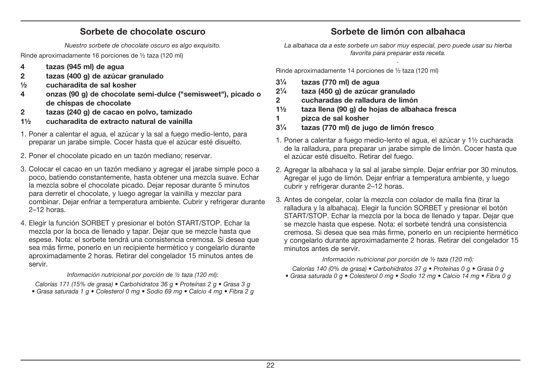#### **Sorbete de chocolate oscuro**

Nuestro sorbete de chocolate oscuro es algo exquisito.

Rinde aproximadamente 16 porciones de ½ taza (120 ml)

- **4 tazas (945 ml) de agua**
- **2 tazas (400 g) de azúcar granulado**
- **½ cucharadita de sal kosher**
- **4 onzas (90 g) de chocolate semi-dulce ("semisweet"), picado o de chispas de chocolate**
- **2 tazas (240 g) de cacao en polvo, tamizado**
- **1½ cucharadita de extracto natural de vainilla**
- 1. Poner a calentar el agua, el azúcar y la sal a fuego medio-lento, para preparar un jarabe simple. Cocer hasta que el azúcar esté disuelto.
- 2. Poner el chocolate picado en un tazón mediano; reservar.
- 3. Colocar el cacao en un tazón mediano y agregar el jarabe simple poco a poco, batiendo constantemente, hasta obtener una mezcla suave. Echar la mezcla sobre el chocolate picado. Dejar reposar durante 5 minutos para derretir el chocolate, y luego agregar la vainilla y mezclar para combinar. Dejar enfriar a temperatura ambiente. Cubrir y refrigerar durante 2–12 horas.
- 4. Elegir la función SORBET y presionar el botón START/STOP. Echar la mezcla por la boca de llenado y tapar. Dejar que se mezcle hasta que espese. Nota: el sorbete tendrá una consistencia cremosa. Si desea que sea más firme, ponerlo en un recipiente hermético y congelarlo durante aproximadamente 2 horas. Retirar del congelador 15 minutos antes de servir.

#### Información nutricional por porción de ½ taza (120 ml):

Calorías 171 (15% de grasa) • Carbohidratos 36 g • Proteínas 2 g • Grasa 3 g

• Grasa saturada 1 g · Colesterol 0 mg · Sodio 69 mg · Calcio 4 mg · Fibra 2 g

## **Sorbete de limón con albahaca**

La albahaca da a este sorbete un sabor muy especial, pero puede usar su hierba favorita para preparar esta receta. .

Rinde aproximadamente 14 porciones de ½ taza (120 ml)

- **31⁄4 tazas (770 ml) de agua**
- **21⁄4 taza (450 g) de azúcar granulado**
- **2 cucharadas de ralladura de limón**
- **1½ taza llena (90 g) de hojas de albahaca fresca**
- **1 pizca de sal kosher**
- **31⁄4 tazas (770 ml) de jugo de limón fresco**
- 1. Poner a calentar a fuego medio-lento el agua, el azúcar y 1½ cucharada de la ralladura, para preparar un jarabe simple de limón. Cocer hasta que el azúcar esté disuelto. Retirar del fuego.
- 2. Agregar la albahaca y la sal al jarabe simple. Dejar enfriar por 30 minutos. Agregar el jugo de limón. Dejar enfriar a temperatura ambiente, y luego cubrir y refrigerar durante 2-12 horas.
- 3. Antes de congelar, colar la mezcla con colador de malla fina (tirar la ralladura y la albahaca). Elegir la función SORBET y presionar el botón START/STOP. Echar la mezcla por la boca de llenado y tapar. Dejar que se mezcle hasta que espese. Nota: el sorbete tendrá una consistencia cremosa. Si desea que sea más firme, ponerlo en un recipiente hermético y congelarlo durante aproximadamente 2 horas. Retirar del congelador 15 minutos antes de servir.

#### Información nutricional por porción de ½ taza (120 ml):

Calorías 140 (0% de grasa) • Carbohidratos 37 g • Proteínas 0 g • Grasa 0 g • Grasa saturada 0 q • Colesterol 0 mq • Sodio 12 mq • Calcio 14 mq • Fibra 0 q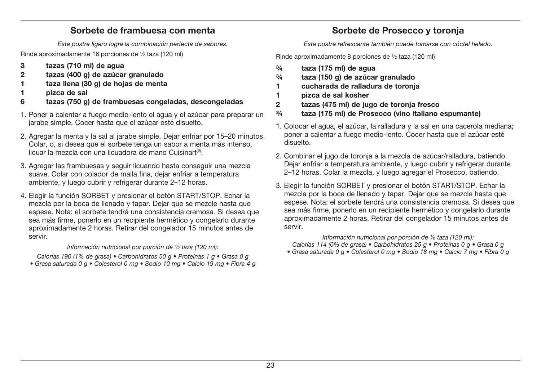### **Sorbete de frambuesa con menta**

Este postre ligero logra la combinación perfecta de sabores.

Rinde aproximadamente 16 porciones de ½ taza (120 ml)

- **3 tazas (710 ml) de agua**
- **2 tazas (400 g) de azúcar granulado**
- **1 taza llena (30 g) de hojas de menta**
- **1 pizca de sal**
- **6 tazas (750 g) de frambuesas congeladas, descongeladas**
- 1. Poner a calentar a fuego medio-lento el agua y el azúcar para preparar un jarabe simple. Cocer hasta que el azúcar esté disuelto.
- 2. Agregar la menta y la sal al jarabe simple. Dejar enfriar por 15–20 minutos. Colar, o, si desea que el sorbete tenga un sabor a menta más intenso, licuar la mezcla con una licuadora de mano Cuisinart®.
- 3. Agregar las frambuesas y seguir licuando hasta conseguir una mezcla suave. Colar con colador de malla fina, dejar enfriar a temperatura ambiente, y luego cubrir y refrigerar durante 2–12 horas.
- 4. Elegir la función SORBET y presionar el botón START/STOP. Echar la mezcla por la boca de llenado y tapar. Dejar que se mezcle hasta que espese. Nota: el sorbete tendrá una consistencia cremosa. Si desea que sea más firme, ponerlo en un recipiente hermético y congelarlo durante aproximadamente 2 horas. Retirar del congelador 15 minutos antes de servir.

#### Información nutricional por porción de ½ taza (120 ml):

Calorías 190 (1% de grasa) • Carbohidratos 50 g • Proteínas 1 g • Grasa 0 g • Grasa saturada 0 q • Colesterol 0 mq • Sodio 10 mq • Calcio 19 mq • Fibra 4 q

## **Sorbete de Prosecco y toronja**

Este postre refrescante también puede tomarse con cóctel helado.

Rinde aproximadamente 8 porciones de ½ taza (120 ml)

- **¾ taza (175 ml) de agua**
- **¾ taza (150 g) de azúcar granulado**
- **1 cucharada de ralladura de toronja**
- **1 pizca de sal kosher**
- **2 tazas (475 ml) de jugo de toronja fresco**
- **¾ taza (175 ml) de Prosecco (vino italiano espumante)**
- 1. Colocar el agua, el azúcar, la ralladura y la sal en una cacerola mediana; poner a calentar a fuego medio-lento. Cocer hasta que el azúcar esté disuelto.
- 2. Combinar el jugo de toronja a la mezcla de azúcar/ralladura, batiendo. Dejar enfriar a temperatura ambiente, y luego cubrir y refrigerar durante 2–12 horas. Colar la mezcla, y luego agregar el Prosecco, batiendo.
- 3. Elegir la función SORBET y presionar el botón START/STOP. Echar la mezcla por la boca de llenado y tapar. Dejar que se mezcle hasta que espese. Nota: el sorbete tendrá una consistencia cremosa. Si desea que sea más firme, ponerlo en un recipiente hermético y congelarlo durante aproximadamente 2 horas. Retirar del congelador 15 minutos antes de servir.

Información nutricional por porción de ½ taza (120 ml): Calorías 114 (0% de grasa) • Carbohidratos 25 g • Proteínas 0 g • Grasa 0 g • Grasa saturada 0 g • Colesterol 0 mg • Sodio 18 mg • Calcio 7 mg • Fibra 0 g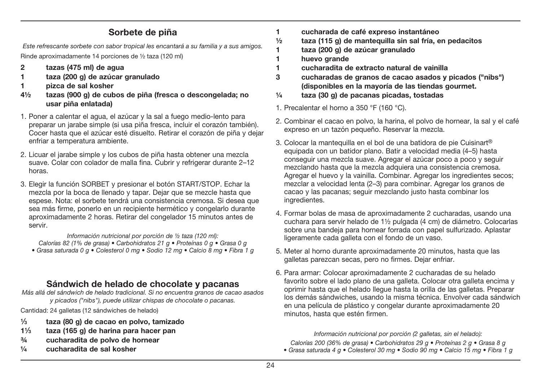### **Sorbete de piña**

Este refrescante sorbete con sabor tropical les encantará a su familia y a sus amigos. Rinde aproximadamente 14 porciones de ½ taza (120 ml)

- **2 tazas (475 ml) de agua**
- **1 taza (200 g) de azúcar granulado**
- **1 pizca de sal kosher**
- **4½ tazas (900 g) de cubos de piña (fresca o descongelada; no usar piña enlatada)**
- 1. Poner a calentar el agua, el azúcar y la sal a fuego medio-lento para preparar un jarabe simple (si usa piña fresca, incluir el corazón también). Cocer hasta que el azúcar esté disuelto. Retirar el corazón de piña y dejar enfriar a temperatura ambiente.
- 2. Licuar el jarabe simple y los cubos de piña hasta obtener una mezcla suave. Colar con colador de malla fina. Cubrir y refrigerar durante 2–12 horas.
- 3. Elegir la función SORBET y presionar el botón START/STOP. Echar la mezcla por la boca de llenado y tapar. Dejar que se mezcle hasta que espese. Nota: el sorbete tendrá una consistencia cremosa. Si desea que sea más firme, ponerlo en un recipiente hermético y congelarlo durante aproximadamente 2 horas. Retirar del congelador 15 minutos antes de servir.

Información nutricional por porción de ½ taza (120 ml): Calorías 82 (1% de grasa) • Carbohidratos 21 g • Proteínas 0 g • Grasa 0 g • Grasa saturada 0 g • Colesterol 0 mg • Sodio 12 mg • Calcio 8 mg • Fibra 1 g

### **Sándwich de helado de chocolate y pacanas**

Más allá del sándwich de helado tradicional. Si no encuentra granos de cacao asados y picados ("nibs"), puede utilizar chispas de chocolate o pacanas.

Cantidad: 24 galletas (12 sándwiches de helado)

- **1⁄3 taza (80 g) de cacao en polvo, tamizado**
- **11⁄3 taza (165 g) de harina para hacer pan**
- **¾ cucharadita de polvo de hornear**
- **¼ cucharadita de sal kosher**
- **1 cucharada de café expreso instantáneo**
- **½ taza (115 g) de mantequilla sin sal fría, en pedacitos**
- **1 taza (200 g) de azúcar granulado**
- **1 huevo grande**
- **1 cucharadita de extracto natural de vainilla**
- **3 cucharadas de granos de cacao asados y picados ("nibs") (disponibles en la mayoría de las tiendas gourmet.**
- **¼ taza (30 g) de pacanas picadas, tostadas**
- 1. Precalentar el horno a 350 °F (160 °C).
- 2. Combinar el cacao en polvo, la harina, el polvo de hornear, la sal y el café expreso en un tazón pequeño. Reservar la mezcla.
- 3. Colocar la mantequilla en el bol de una batidora de pie Cuisinart® equipada con un batidor plano. Batir a velocidad media (4–5) hasta conseguir una mezcla suave. Agregar el azúcar poco a poco y seguir mezclando hasta que la mezcla adquiera una consistencia cremosa. Agregar el huevo y la vainilla. Combinar, Agregar los ingredientes secos: mezclar a velocidad lenta (2–3) para combinar. Agregar los granos de cacao y las pacanas; seguir mezclando justo hasta combinar los ingredientes.
- 4. Formar bolas de masa de aproximadamente 2 cucharadas, usando una cuchara para servir helado de 1½ pulgada (4 cm) de diámetro. Colocarlas sobre una bandeja para hornear forrada con papel sulfurizado. Aplastar ligeramente cada galleta con el fondo de un vaso.
- 5. Meter al horno durante aproximadamente 20 minutos, hasta que las galletas parezcan secas, pero no firmes. Dejar enfriar.
- 6. Para armar: Colocar aproximadamente 2 cucharadas de su helado favorito sobre el lado plano de una galleta. Colocar otra galleta encima y oprimir hasta que el helado llegue hasta la orilla de las galletas. Preparar los demás sándwiches, usando la misma técnica. Envolver cada sándwich en una película de plástico y congelar durante aproximadamente 20 minutos, hasta que estén firmen.

Información nutricional por porción (2 galletas, sin el helado):

Calorías 200 (36% de grasa) • Carbohidratos 29 g • Proteínas 2 g • Grasa 8 g • Grasa saturada 4 g • Colesterol 30 mg • Sodio 90 mg • Calcio 15 mg • Fibra 1 g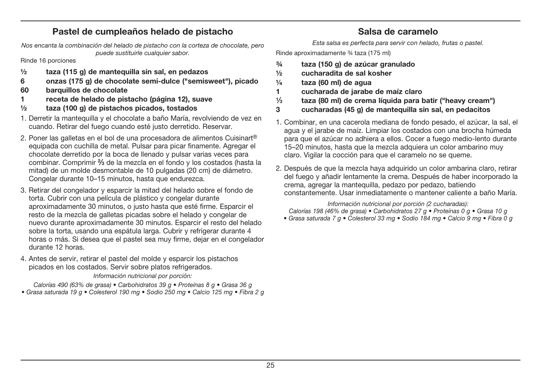### **Pastel de cumpleaños helado de pistacho**

**Salsa de caramelo** 

Nos encanta la combinación del helado de pistacho con la corteza de chocolate, pero puede sustituirle cualquier sabor.

Rinde 16 porciones

- **½ taza (115 g) de mantequilla sin sal, en pedazos**
- **6 onzas (175 g) de chocolate semi-dulce ("semisweet"), picado**
- **60 barquillos de chocolate**
- **1 receta de helado de pistacho (página 12), suave**
- **½ taza (100 g) de pistachos picados, tostados**
- 1. Derretir la mantequilla y el chocolate a baño María, revolviendo de vez en cuando. Retirar del fuego cuando esté justo derretido. Reservar.
- 2. Poner las galletas en el bol de una procesadora de alimentos Cuisinart® equipada con cuchilla de metal. Pulsar para picar finamente. Agregar el chocolate derretido por la boca de llenado y pulsar varias veces para combinar. Comprimir **2⁄3** de la mezcla en el fondo y los costados (hasta la mitad) de un molde desmontable de 10 pulgadas (20 cm) de diámetro. Congelar durante 10–15 minutos, hasta que endurezca.
- 3. Retirar del congelador y esparcir la mitad del helado sobre el fondo de torta. Cubrir con una película de plástico y congelar durante aproximadamente 30 minutos, o justo hasta que esté firme. Esparcir el resto de la mezcla de galletas picadas sobre el helado y congelar de nuevo durante aproximadamente 30 minutos. Esparcir el resto del helado sobre la torta, usando una espátula larga. Cubrir y refrigerar durante 4 horas o más. Si desea que el pastel sea muy firme, dejar en el congelador durante 12 horas.
- 4. Antes de servir, retirar el pastel del molde y esparcir los pistachos picados en los costados. Servir sobre platos refrigerados.

Información nutricional por porción:

Calorías 490 (63% de grasa) • Carbohidratos 39 g • Proteínas 8 g • Grasa 36 g • Grasa saturada 19 g · Colesterol 190 mg · Sodio 250 mg · Calcio 125 mg · Fibra 2 g Esta salsa es perfecta para servir con helado, frutas o pastel.

Rinde aproximadamente ¾ taza (175 ml)

- **¾ taza (150 g) de azúcar granulado**
- **½ cucharadita de sal kosher**
- **¼ taza (60 ml) de agua**
- **1 cucharada de jarabe de maíz claro**
- **1⁄3 taza (80 ml) de crema líquida para batir ("heavy cream")**
- **3 cucharadas (45 g) de mantequilla sin sal, en pedacitos**
- 1. Combinar, en una cacerola mediana de fondo pesado, el azúcar, la sal, el agua y el jarabe de maíz. Limpiar los costados con una brocha húmeda para que el azúcar no adhiera a ellos. Cocer a fuego medio-lento durante 15–20 minutos, hasta que la mezcla adquiera un color ambarino muy claro. Vigilar la cocción para que el caramelo no se queme.
- 2. Después de que la mezcla haya adquirido un color ambarina claro, retirar del fuego y añadir lentamente la crema. Después de haber incorporado la crema, agregar la mantequilla, pedazo por pedazo, batiendo constantemente. Usar inmediatamente o mantener caliente a baño María.

Información nutricional por porción (2 cucharadas):

Calorías 198 (46% de grasa) • Carbohidratos 27 g • Proteínas 0 g • Grasa 10 g

• Grasa saturada 7 g • Colesterol 33 mg • Sodio 184 mg • Calcio 9 mg • Fibra 0 g